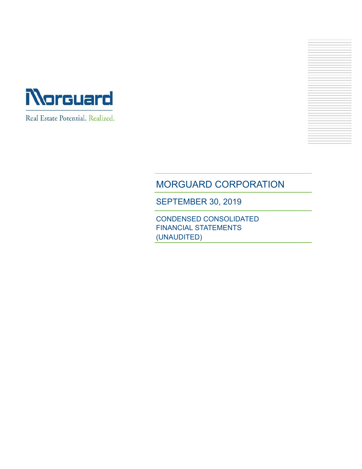



# MORGUARD CORPORATION

SEPTEMBER 30, 2019

CONDENSED CONSOLIDATED FINANCIAL STATEMENTS (UNAUDITED)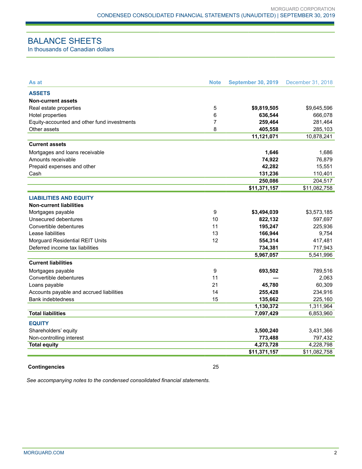## BALANCE SHEETS

In thousands of Canadian dollars

| As at                                       | <b>Note</b>    | <b>September 30, 2019</b> | December 31, 2018 |
|---------------------------------------------|----------------|---------------------------|-------------------|
| <b>ASSETS</b>                               |                |                           |                   |
| <b>Non-current assets</b>                   |                |                           |                   |
| Real estate properties                      | 5              | \$9,819,505               | \$9,645,596       |
| Hotel properties                            | 6              | 636,544                   | 666,078           |
| Equity-accounted and other fund investments | $\overline{7}$ | 259,464                   | 281,464           |
| Other assets                                | 8              | 405,558                   | 285,103           |
|                                             |                | 11,121,071                | 10,878,241        |
| <b>Current assets</b>                       |                |                           |                   |
| Mortgages and loans receivable              |                | 1,646                     | 1,686             |
| Amounts receivable                          |                | 74,922                    | 76,879            |
| Prepaid expenses and other                  |                | 42,282                    | 15,551            |
| Cash                                        |                | 131,236                   | 110,401           |
|                                             |                | 250,086                   | 204,517           |
|                                             |                | \$11,371,157              | \$11,082,758      |
| <b>LIABILITIES AND EQUITY</b>               |                |                           |                   |
| <b>Non-current liabilities</b>              |                |                           |                   |
| Mortgages payable                           | 9              | \$3,494,039               | \$3,573,185       |
| Unsecured debentures                        | 10             | 822,132                   | 597,697           |
| Convertible debentures                      | 11             | 195,247                   | 225,936           |
| Lease liabilities                           | 13             | 166,944                   | 9,754             |
| Morguard Residential REIT Units             | 12             | 554,314                   | 417,481           |
| Deferred income tax liabilities             |                | 734,381                   | 717,943           |
|                                             |                | 5,967,057                 | 5,541,996         |
| <b>Current liabilities</b>                  |                |                           |                   |
| Mortgages payable                           | 9              | 693,502                   | 789,516           |
| Convertible debentures                      | 11             |                           | 2,063             |
| Loans payable                               | 21             | 45,780                    | 60,309            |
| Accounts payable and accrued liabilities    | 14             | 255,428                   | 234,916           |
| <b>Bank indebtedness</b>                    | 15             | 135,662                   | 225,160           |
|                                             |                | 1,130,372                 | 1,311,964         |
| <b>Total liabilities</b>                    |                | 7,097,429                 | 6,853,960         |
| <b>EQUITY</b>                               |                |                           |                   |
| Shareholders' equity                        |                | 3,500,240                 | 3,431,366         |
| Non-controlling interest                    |                | 773,488                   | 797,432           |
| <b>Total equity</b>                         |                | 4,273,728                 | 4,228,798         |
|                                             |                | \$11,371,157              | \$11,082,758      |
|                                             |                |                           |                   |

#### **Contingencies** 25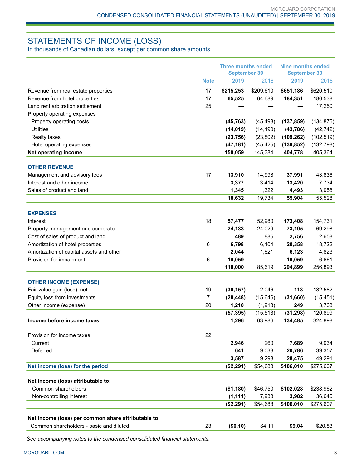### STATEMENTS OF INCOME (LOSS)

In thousands of Canadian dollars, except per common share amounts

|                                                     |             | <b>Three months ended</b><br><b>September 30</b> |           | <b>Nine months ended</b><br><b>September 30</b> |            |
|-----------------------------------------------------|-------------|--------------------------------------------------|-----------|-------------------------------------------------|------------|
|                                                     | <b>Note</b> | 2019                                             | 2018      | 2019                                            | 2018       |
| Revenue from real estate properties                 | 17          | \$215,253                                        | \$209,610 | \$651,186                                       | \$620,510  |
| Revenue from hotel properties                       | 17          | 65,525                                           | 64,689    | 184,351                                         | 180,538    |
| Land rent arbitration settlement                    | 25          |                                                  |           |                                                 | 17,250     |
| Property operating expenses                         |             |                                                  |           |                                                 |            |
| Property operating costs                            |             | (45, 763)                                        | (45, 498) | (137, 859)                                      | (134, 875) |
| <b>Utilities</b>                                    |             | (14, 019)                                        | (14, 190) | (43, 786)                                       | (42, 742)  |
| Realty taxes                                        |             | (23, 756)                                        | (23, 802) | (109, 262)                                      | (102, 519) |
| Hotel operating expenses                            |             | (47, 181)                                        | (45, 425) | (139, 852)                                      | (132, 798) |
| Net operating income                                |             | 150,059                                          | 145,384   | 404,778                                         | 405,364    |
| <b>OTHER REVENUE</b>                                |             |                                                  |           |                                                 |            |
| Management and advisory fees                        | 17          | 13,910                                           | 14,998    | 37,991                                          | 43,836     |
| Interest and other income                           |             | 3,377                                            | 3,414     | 13,420                                          | 7,734      |
| Sales of product and land                           |             | 1,345                                            | 1,322     | 4,493                                           | 3,958      |
|                                                     |             | 18,632                                           | 19,734    | 55,904                                          | 55,528     |
|                                                     |             |                                                  |           |                                                 |            |
| <b>EXPENSES</b>                                     |             |                                                  |           |                                                 |            |
| Interest                                            | 18          | 57,477                                           | 52,980    | 173,408                                         | 154,731    |
| Property management and corporate                   |             | 24,133                                           | 24,029    | 73,195                                          | 69,298     |
| Cost of sales of product and land                   |             | 489                                              | 885       | 2,756                                           | 2,658      |
| Amortization of hotel properties                    | 6           | 6,798                                            | 6,104     | 20,358                                          | 18,722     |
| Amortization of capital assets and other            |             | 2,044                                            | 1,621     | 6,123                                           | 4,823      |
| Provision for impairment                            | 6           | 19,059                                           |           | 19,059                                          | 6,661      |
|                                                     |             | 110,000                                          | 85,619    | 294,899                                         | 256,893    |
| <b>OTHER INCOME (EXPENSE)</b>                       |             |                                                  |           |                                                 |            |
| Fair value gain (loss), net                         | 19          | (30, 157)                                        | 2,046     | 113                                             | 132,582    |
| Equity loss from investments                        | 7           | (28, 448)                                        | (15, 646) | (31,660)                                        | (15, 451)  |
| Other income (expense)                              | 20          | 1,210                                            | (1, 913)  | 249                                             | 3,768      |
|                                                     |             | (57, 395)                                        | (15, 513) | (31, 298)                                       | 120,899    |
| Income before income taxes                          |             | 1,296                                            | 63,986    | 134,485                                         | 324,898    |
| Provision for income taxes                          | 22          |                                                  |           |                                                 |            |
| Current                                             |             | 2,946                                            | 260       | 7,689                                           | 9,934      |
| Deferred                                            |             | 641                                              | 9,038     | 20,786                                          | 39,357     |
|                                                     |             | 3,587                                            | 9,298     | 28,475                                          | 49,291     |
| Net income (loss) for the period                    |             | (\$2,291)                                        | \$54,688  | \$106,010                                       | \$275,607  |
|                                                     |             |                                                  |           |                                                 |            |
| Net income (loss) attributable to:                  |             |                                                  |           |                                                 |            |
| Common shareholders                                 |             | (\$1,180)                                        | \$46,750  | \$102,028                                       | \$238,962  |
| Non-controlling interest                            |             | (1, 111)                                         | 7,938     | 3,982                                           | 36,645     |
|                                                     |             | (\$2,291)                                        | \$54,688  | \$106,010                                       | \$275,607  |
| Net income (loss) per common share attributable to: |             |                                                  |           |                                                 |            |
| Common shareholders - basic and diluted             | 23          | (\$0.10)                                         | \$4.11    | \$9.04                                          | \$20.83    |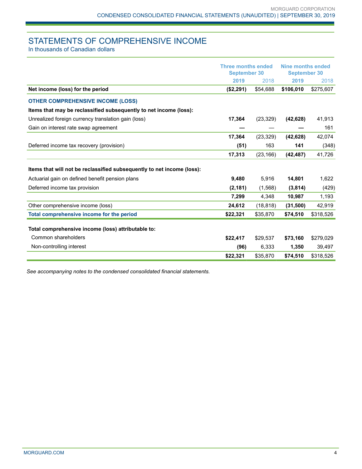## STATEMENTS OF COMPREHENSIVE INCOME

In thousands of Canadian dollars

|                                                                        | <b>Three months ended</b><br><b>September 30</b> |           | Nine months ended<br><b>September 30</b> |           |
|------------------------------------------------------------------------|--------------------------------------------------|-----------|------------------------------------------|-----------|
|                                                                        | 2019                                             | 2018      | 2019                                     | 2018      |
| Net income (loss) for the period                                       | (\$2,291)                                        | \$54,688  | \$106,010                                | \$275,607 |
| <b>OTHER COMPREHENSIVE INCOME (LOSS)</b>                               |                                                  |           |                                          |           |
| Items that may be reclassified subsequently to net income (loss):      |                                                  |           |                                          |           |
| Unrealized foreign currency translation gain (loss)                    | 17,364                                           | (23, 329) | (42, 628)                                | 41,913    |
| Gain on interest rate swap agreement                                   |                                                  |           |                                          | 161       |
|                                                                        | 17,364                                           | (23, 329) | (42, 628)                                | 42,074    |
| Deferred income tax recovery (provision)                               | (51)                                             | 163       | 141                                      | (348)     |
|                                                                        | 17,313                                           | (23, 166) | (42, 487)                                | 41,726    |
| Items that will not be reclassified subsequently to net income (loss): |                                                  |           |                                          |           |
| Actuarial gain on defined benefit pension plans                        | 9,480                                            | 5,916     | 14,801                                   | 1,622     |
| Deferred income tax provision                                          | (2, 181)                                         | (1,568)   | (3,814)                                  | (429)     |
|                                                                        | 7,299                                            | 4,348     | 10,987                                   | 1,193     |
| Other comprehensive income (loss)                                      | 24,612                                           | (18, 818) | (31,500)                                 | 42,919    |
| Total comprehensive income for the period                              | \$22,321                                         | \$35,870  | \$74,510                                 | \$318,526 |
| Total comprehensive income (loss) attributable to:                     |                                                  |           |                                          |           |
| Common shareholders                                                    | \$22,417                                         | \$29,537  | \$73,160                                 | \$279,029 |
| Non-controlling interest                                               | (96)                                             | 6,333     | 1,350                                    | 39,497    |
|                                                                        | \$22,321                                         | \$35,870  | \$74,510                                 | \$318,526 |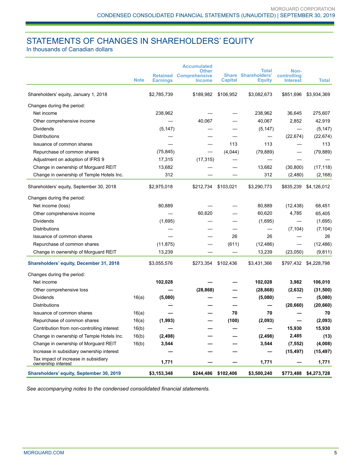## STATEMENTS OF CHANGES IN SHAREHOLDERS' EQUITY

In thousands of Canadian dollars

|                                                            | <b>Note</b> | <b>Retained</b><br><b>Earnings</b> | <b>Accumulated</b><br><b>Other</b><br><b>Comprehensive</b><br><b>Income</b> | <b>Capital</b>      | <b>Total</b><br><b>Share Shareholders'</b><br><b>Equity</b> | Non-<br>controlling<br><b>Interest</b> | Total                 |
|------------------------------------------------------------|-------------|------------------------------------|-----------------------------------------------------------------------------|---------------------|-------------------------------------------------------------|----------------------------------------|-----------------------|
| Shareholders' equity, January 1, 2018                      |             | \$2,785,739                        | \$189,982                                                                   | \$106,952           | \$3,082,673                                                 | \$851,696                              | \$3,934,369           |
| Changes during the period:                                 |             |                                    |                                                                             |                     |                                                             |                                        |                       |
| Net income                                                 |             | 238,962                            |                                                                             |                     | 238,962                                                     | 36,645                                 | 275,607               |
| Other comprehensive income                                 |             |                                    | 40,067                                                                      |                     | 40,067                                                      | 2,852                                  | 42,919                |
| Dividends                                                  |             | (5, 147)                           |                                                                             |                     | (5, 147)                                                    |                                        | (5, 147)              |
| Distributions                                              |             |                                    |                                                                             |                     |                                                             | (22, 674)                              | (22, 674)             |
| Issuance of common shares                                  |             |                                    |                                                                             | 113                 | 113                                                         |                                        | 113                   |
| Repurchase of common shares                                |             | (75, 845)                          |                                                                             | (4,044)             | (79, 889)                                                   |                                        | (79, 889)             |
| Adjustment on adoption of IFRS 9                           |             | 17,315                             | (17, 315)                                                                   |                     |                                                             |                                        |                       |
| Change in ownership of Morguard REIT                       |             | 13,682                             |                                                                             |                     | 13,682                                                      | (30, 800)                              | (17, 118)             |
| Change in ownership of Temple Hotels Inc.                  |             | 312                                |                                                                             |                     | 312                                                         | (2,480)                                | (2, 168)              |
| Shareholders' equity, September 30, 2018                   |             | \$2,975,018                        | \$212,734                                                                   | \$103,021           | \$3,290,773                                                 | \$835,239                              | \$4,126,012           |
| Changes during the period:                                 |             |                                    |                                                                             |                     |                                                             |                                        |                       |
| Net income (loss)                                          |             | 80,889                             |                                                                             |                     | 80,889                                                      | (12, 438)                              | 68,451                |
| Other comprehensive income                                 |             |                                    | 60,620                                                                      |                     | 60,620                                                      | 4,785                                  | 65,405                |
| <b>Dividends</b>                                           |             | (1,695)                            |                                                                             |                     | (1,695)                                                     |                                        | (1,695)               |
| <b>Distributions</b>                                       |             |                                    |                                                                             |                     |                                                             | (7, 104)                               | (7, 104)              |
| Issuance of common shares                                  |             |                                    |                                                                             | 26                  | 26                                                          |                                        | 26                    |
| Repurchase of common shares                                |             | (11, 875)                          |                                                                             | (611)               | (12, 486)                                                   | $\overline{\phantom{0}}$               | (12, 486)             |
| Change in ownership of Morguard REIT                       |             | 13,239                             |                                                                             |                     | 13,239                                                      | (23,050)                               | (9, 811)              |
| Shareholders' equity, December 31, 2018                    |             | \$3,055,576                        | \$273,354                                                                   | \$102,436           | \$3,431,366                                                 |                                        | \$797,432 \$4,228,798 |
| Changes during the period:                                 |             |                                    |                                                                             |                     |                                                             |                                        |                       |
| Net income                                                 |             | 102,028                            |                                                                             |                     | 102,028                                                     | 3,982                                  | 106,010               |
| Other comprehensive loss                                   |             |                                    | (28, 868)                                                                   |                     | (28, 868)                                                   | (2,632)                                | (31,500)              |
| <b>Dividends</b>                                           | 16(a)       | (5,080)                            |                                                                             |                     | (5,080)                                                     |                                        | (5,080)               |
| Distributions                                              |             |                                    |                                                                             |                     |                                                             | (20, 660)                              | (20, 660)             |
| Issuance of common shares                                  | 16(a)       |                                    |                                                                             | 70                  | 70                                                          |                                        | 70                    |
| Repurchase of common shares                                | 16(a)       | (1,993)                            |                                                                             | (100)               | (2,093)                                                     |                                        | (2,093)               |
| Contribution from non-controlling interest                 | 16(b)       |                                    |                                                                             |                     | —                                                           | 15,930                                 | 15,930                |
| Change in ownership of Temple Hotels Inc.                  | 16(b)       | (2, 498)                           |                                                                             |                     | (2, 498)                                                    | 2,485                                  | (13)                  |
| Change in ownership of Morguard REIT                       | 16(b)       | 3,544                              |                                                                             |                     | 3,544                                                       | (7, 552)                               | (4,008)               |
| Increase in subsidiary ownership interest                  |             |                                    |                                                                             |                     | —                                                           | (15, 497)                              | (15, 497)             |
| Tax impact of increase in subsidiary<br>ownership interest |             | 1,771                              |                                                                             |                     | 1,771                                                       |                                        | 1,771                 |
| Shareholders' equity, September 30, 2019                   |             | \$3,153,348                        |                                                                             | \$244,486 \$102,406 | \$3,500,240                                                 |                                        | \$773,488 \$4,273,728 |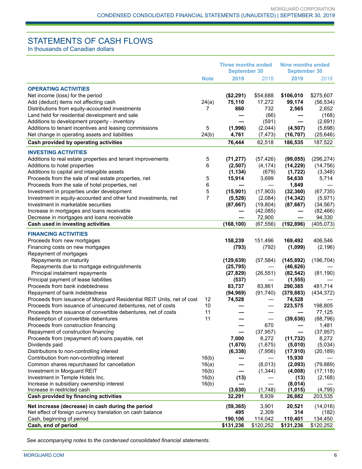## STATEMENTS OF CASH FLOWS

In thousands of Canadian dollars

|                                                                        |             | <b>Three months ended</b><br><b>September 30</b> |                       | <b>Nine months ended</b><br><b>September 30</b> |                      |
|------------------------------------------------------------------------|-------------|--------------------------------------------------|-----------------------|-------------------------------------------------|----------------------|
|                                                                        | <b>Note</b> | 2019                                             | 2018                  | 2019                                            | 2018                 |
| <b>OPERATING ACTIVITIES</b>                                            |             |                                                  |                       |                                                 |                      |
| Net income (loss) for the period                                       |             | (\$2,291)                                        | \$54,688              | \$106,010                                       | \$275,607            |
| Add (deduct) items not affecting cash                                  | 24(a)       | 75,110                                           | 17,272                | 99,174                                          | (56, 534)            |
| Distributions from equity-accounted investments                        | 7           | 860                                              | 732                   | 2,565                                           | 2,652                |
| Land held for residential development and sale                         |             |                                                  | (66)                  |                                                 | (168)                |
| Additions to development property - inventory                          |             |                                                  | (591)                 |                                                 | (2,691)              |
| Additions to tenant incentives and leasing commissions                 | 5           | (1,996)                                          | (2,044)               | (4, 507)                                        | (5,698)              |
| Net change in operating assets and liabilities                         | 24(b)       | 4,761                                            | (7, 473)              | (16, 707)                                       | (25, 646)            |
| Cash provided by operating activities                                  |             | 76,444                                           | 62,518                | 186,535                                         | 187,522              |
| <b>INVESTING ACTIVITIES</b>                                            |             |                                                  |                       |                                                 |                      |
| Additions to real estate properties and tenant improvements            | 5           |                                                  |                       | (99, 055)                                       | (296, 274)           |
| Additions to hotel properties                                          | 6           | (71, 277)<br>(2,507)                             | (57, 426)<br>(4, 174) | (14, 229)                                       | (14, 756)            |
| Additions to capital and intangible assets                             |             | (1, 134)                                         | (679)                 | (1, 722)                                        | (3,348)              |
| Proceeds from the sale of real estate properties, net                  | 5           | 15,914                                           | 3,699                 | 54,630                                          | 5,714                |
| Proceeds from the sale of hotel properties, net                        | 6           |                                                  |                       | 1,849                                           |                      |
| Investment in properties under development                             | 5           | (15, 901)                                        | (17, 903)             | (32, 360)                                       | (67, 735)            |
| Investment in equity-accounted and other fund investments, net         | 7           | (5, 528)                                         | (2,084)               | (14, 342)                                       | (5, 971)             |
| Investment in marketable securities                                    |             | (87, 667)                                        | (19, 804)             | (87, 667)                                       | (34, 567)            |
| Increase in mortgages and loans receivable                             |             |                                                  | (42,085)              |                                                 | (82, 466)            |
| Decrease in mortgages and loans receivable                             |             |                                                  | 72,900                |                                                 | 94,330               |
| Cash used in investing activities                                      |             | (168, 100)                                       | (67, 556)             | (192, 896)                                      | (405, 073)           |
| <b>FINANCING ACTIVITIES</b>                                            |             |                                                  |                       |                                                 |                      |
| Proceeds from new mortgages                                            |             | 158,239                                          | 151,496               | 169,492                                         | 406,546              |
| Financing costs on new mortgages                                       |             | (793)                                            | (792)                 | (1,099)                                         | (2, 196)             |
| Repayment of mortgages                                                 |             |                                                  |                       |                                                 |                      |
| Repayments on maturity                                                 |             | (129, 639)                                       | (57, 584)             | (145, 892)                                      | (196, 704)           |
| Repayments due to mortgage extinguishments                             |             | (25, 795)                                        |                       | (46, 626)                                       |                      |
| Principal instalment repayments                                        |             | (27, 829)                                        | (26, 551)             | (82, 542)                                       | (81, 190)            |
| Principal payment of lease liabilities                                 |             | (537)                                            |                       | (1, 555)                                        |                      |
| Proceeds from bank indebtedness                                        |             | 83,737                                           | 83,861                | 290,385                                         | 481,714              |
| Repayment of bank indebtedness                                         |             | (94, 969)                                        | (91, 740)             | (379, 883)                                      | (434, 372)           |
| Proceeds from issuance of Morguard Residential REIT Units, net of cost | 12          | 74,528                                           |                       | 74,528                                          |                      |
| Proceeds from issuance of unsecured debentures, net of costs           | 10          |                                                  |                       | 223,575                                         | 198,805              |
| Proceeds from issuance of convertible debentures, net of costs         | 11          |                                                  |                       |                                                 | 77,125               |
| Redemption of convertible debentures                                   | 11          |                                                  |                       | (39, 636)                                       | (88, 796)            |
| Proceeds from construction financing                                   |             |                                                  | 670                   |                                                 | 1,481                |
| Repayment of construction financing                                    |             |                                                  | (37, 957)             |                                                 | (37, 957)            |
| Proceeds from (repayment of) loans payable, net                        |             | 7,000                                            | 8,272                 | (11, 732)                                       | 8,272                |
| Dividends paid                                                         |             | (1,670)                                          | (1,675)               | (5,010)                                         | (5,034)              |
| Distributions to non-controlling interest                              |             | (6, 338)                                         | (7,956)               | (17, 910)                                       | (20, 189)            |
| Contribution from non-controlling interest                             | 16(b)       |                                                  |                       | 15,930                                          |                      |
| Common shares repurchased for cancellation                             | 16(a)       |                                                  | (8,013)               | (2,093)                                         | (79, 889)            |
| Investment in Morguard REIT                                            | 16(b)       |                                                  | (1, 344)              | (4,008)                                         | (17, 118)            |
| Investment in Temple Hotels Inc.                                       | 16(b)       | (13)                                             |                       | (13)                                            | (2, 168)             |
| Increase in subsidiary ownership interest                              | 16(b)       | (3,630)                                          |                       | (8,014)                                         | (4, 795)             |
| Increase in restricted cash<br>Cash provided by financing activities   |             | 32,291                                           | (1,748)<br>8,939      | (1,015)<br>26,882                               | 203,535              |
|                                                                        |             |                                                  |                       |                                                 |                      |
| Net increase (decrease) in cash during the period                      |             | (59, 365)                                        | 3,901                 | 20,521<br>314                                   | (14, 016)            |
| Net effect of foreign currency translation on cash balance             |             | 495                                              | 2,309                 |                                                 | (182)                |
| Cash, beginning of period<br>Cash, end of period                       |             | 190,106<br>\$131,236                             | 114,042<br>\$120,252  | 110,401<br>\$131,236                            | 134,450<br>\$120,252 |
|                                                                        |             |                                                  |                       |                                                 |                      |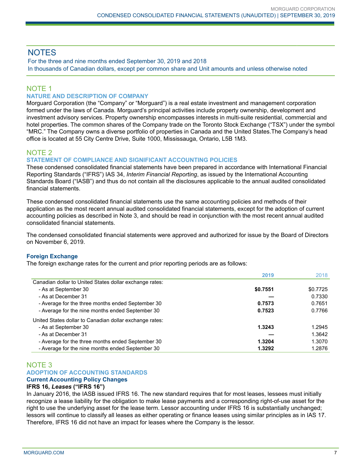### **NOTES**

For the three and nine months ended September 30, 2019 and 2018 In thousands of Canadian dollars, except per common share and Unit amounts and unless otherwise noted

### NOTE 1

### **NATURE AND DESCRIPTION OF COMPANY**

Morguard Corporation (the "Company" or "Morguard") is a real estate investment and management corporation formed under the laws of Canada. Morguard's principal activities include property ownership, development and investment advisory services. Property ownership encompasses interests in multi-suite residential, commercial and hotel properties. The common shares of the Company trade on the Toronto Stock Exchange ("TSX") under the symbol "MRC." The Company owns a diverse portfolio of properties in Canada and the United States.The Company's head office is located at 55 City Centre Drive, Suite 1000, Mississauga, Ontario, L5B 1M3.

### NOTE 2

### **STATEMENT OF COMPLIANCE AND SIGNIFICANT ACCOUNTING POLICIES**

These condensed consolidated financial statements have been prepared in accordance with International Financial Reporting Standards ("IFRS") IAS 34, *Interim Financial Reporting*, as issued by the International Accounting Standards Board ("IASB") and thus do not contain all the disclosures applicable to the annual audited consolidated financial statements.

These condensed consolidated financial statements use the same accounting policies and methods of their application as the most recent annual audited consolidated financial statements, except for the adoption of current accounting policies as described in Note 3, and should be read in conjunction with the most recent annual audited consolidated financial statements.

The condensed consolidated financial statements were approved and authorized for issue by the Board of Directors on November 6, 2019.

### **Foreign Exchange**

The foreign exchange rates for the current and prior reporting periods are as follows:

|                                                         | 2019     | 2018     |
|---------------------------------------------------------|----------|----------|
| Canadian dollar to United States dollar exchange rates: |          |          |
| - As at September 30                                    | \$0.7551 | \$0.7725 |
| - As at December 31                                     |          | 0.7330   |
| - Average for the three months ended September 30       | 0.7573   | 0.7651   |
| - Average for the nine months ended September 30        | 0.7523   | 0.7766   |
| United States dollar to Canadian dollar exchange rates: |          |          |
| - As at September 30                                    | 1.3243   | 1.2945   |
| - As at December 31                                     |          | 1.3642   |
| - Average for the three months ended September 30       | 1.3204   | 1.3070   |
| - Average for the nine months ended September 30        | 1.3292   | 1.2876   |

### NOTE 3 **ADOPTION OF ACCOUNTING STANDARDS**

### **Current Accounting Policy Changes**

### **IFRS 16,** *Leases* **("IFRS 16")**

In January 2016, the IASB issued IFRS 16. The new standard requires that for most leases, lessees must initially recognize a lease liability for the obligation to make lease payments and a corresponding right-of-use asset for the right to use the underlying asset for the lease term. Lessor accounting under IFRS 16 is substantially unchanged; lessors will continue to classify all leases as either operating or finance leases using similar principles as in IAS 17. Therefore, IFRS 16 did not have an impact for leases where the Company is the lessor.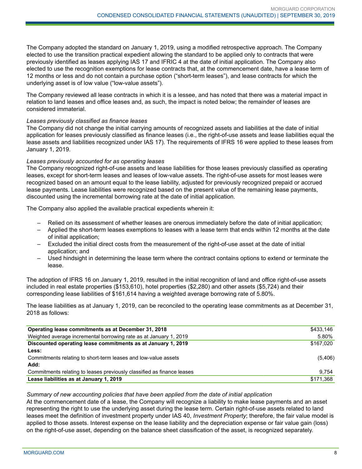The Company adopted the standard on January 1, 2019, using a modified retrospective approach. The Company elected to use the transition practical expedient allowing the standard to be applied only to contracts that were previously identified as leases applying IAS 17 and IFRIC 4 at the date of initial application. The Company also elected to use the recognition exemptions for lease contracts that, at the commencement date, have a lease term of 12 months or less and do not contain a purchase option ("short-term leases"), and lease contracts for which the underlying asset is of low value ("low-value assets").

The Company reviewed all lease contracts in which it is a lessee, and has noted that there was a material impact in relation to land leases and office leases and, as such, the impact is noted below; the remainder of leases are considered immaterial.

### *Leases previously classified as finance leases*

The Company did not change the initial carrying amounts of recognized assets and liabilities at the date of initial application for leases previously classified as finance leases (i.e., the right-of-use assets and lease liabilities equal the lease assets and liabilities recognized under IAS 17). The requirements of IFRS 16 were applied to these leases from January 1, 2019.

### *Leases previously accounted for as operating leases*

The Company recognized right-of-use assets and lease liabilities for those leases previously classified as operating leases, except for short-term leases and leases of low-value assets. The right-of-use assets for most leases were recognized based on an amount equal to the lease liability, adjusted for previously recognized prepaid or accrued lease payments. Lease liabilities were recognized based on the present value of the remaining lease payments, discounted using the incremental borrowing rate at the date of initial application.

The Company also applied the available practical expedients wherein it:

- Relied on its assessment of whether leases are onerous immediately before the date of initial application;
- Applied the short-term leases exemptions to leases with a lease term that ends within 12 months at the date of initial application;
- Excluded the initial direct costs from the measurement of the right-of-use asset at the date of initial application; and
- Used hindsight in determining the lease term where the contract contains options to extend or terminate the lease.

The adoption of IFRS 16 on January 1, 2019, resulted in the initial recognition of land and office right-of-use assets included in real estate properties (\$153,610), hotel properties (\$2,280) and other assets (\$5,724) and their corresponding lease liabilities of \$161,614 having a weighted average borrowing rate of 5.80%.

The lease liabilities as at January 1, 2019, can be reconciled to the operating lease commitments as at December 31, 2018 as follows:

| Operating lease commitments as at December 31, 2018                    | \$433,146 |
|------------------------------------------------------------------------|-----------|
| Weighted average incremental borrowing rate as at January 1, 2019      | 5.80%     |
| Discounted operating lease commitments as at January 1, 2019           | \$167,020 |
| Less:                                                                  |           |
| Commitments relating to short-term leases and low-value assets         | (5,406)   |
| Add:                                                                   |           |
| Commitments relating to leases previously classified as finance leases | 9.754     |
| Lease liabilities as at January 1, 2019                                | \$171,368 |

### *Summary of new accounting policies that have been applied from the date of initial application*

At the commencement date of a lease, the Company will recognize a liability to make lease payments and an asset representing the right to use the underlying asset during the lease term. Certain right-of-use assets related to land leases meet the definition of investment property under IAS 40, *Investment Property*; therefore, the fair value model is applied to those assets. Interest expense on the lease liability and the depreciation expense or fair value gain (loss) on the right-of-use asset, depending on the balance sheet classification of the asset, is recognized separately.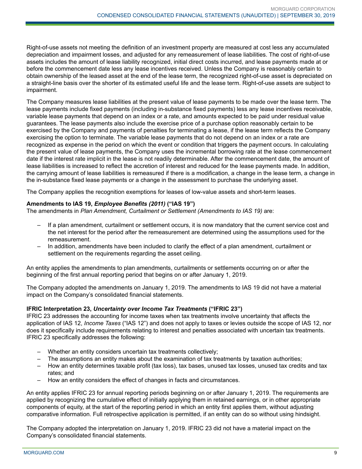Right-of-use assets not meeting the definition of an investment property are measured at cost less any accumulated depreciation and impairment losses, and adjusted for any remeasurement of lease liabilities. The cost of right-of-use assets includes the amount of lease liability recognized, initial direct costs incurred, and lease payments made at or before the commencement date less any lease incentives received. Unless the Company is reasonably certain to obtain ownership of the leased asset at the end of the lease term, the recognized right-of-use asset is depreciated on a straight-line basis over the shorter of its estimated useful life and the lease term. Right-of-use assets are subject to impairment.

The Company measures lease liabilities at the present value of lease payments to be made over the lease term. The lease payments include fixed payments (including in-substance fixed payments) less any lease incentives receivable, variable lease payments that depend on an index or a rate, and amounts expected to be paid under residual value guarantees. The lease payments also include the exercise price of a purchase option reasonably certain to be exercised by the Company and payments of penalties for terminating a lease, if the lease term reflects the Company exercising the option to terminate. The variable lease payments that do not depend on an index or a rate are recognized as expense in the period on which the event or condition that triggers the payment occurs. In calculating the present value of lease payments, the Company uses the incremental borrowing rate at the lease commencement date if the interest rate implicit in the lease is not readily determinable. After the commencement date, the amount of lease liabilities is increased to reflect the accretion of interest and reduced for the lease payments made. In addition, the carrying amount of lease liabilities is remeasured if there is a modification, a change in the lease term, a change in the in-substance fixed lease payments or a change in the assessment to purchase the underlying asset.

The Company applies the recognition exemptions for leases of low-value assets and short-term leases.

### **Amendments to IAS 19,** *Employee Benefits (2011)* **("IAS 19")**

The amendments in *Plan Amendment, Curtailment or Settlement (Amendments to IAS 19)* are:

- If a plan amendment, curtailment or settlement occurs, it is now mandatory that the current service cost and the net interest for the period after the remeasurement are determined using the assumptions used for the remeasurement.
- In addition, amendments have been included to clarify the effect of a plan amendment, curtailment or settlement on the requirements regarding the asset ceiling.

An entity applies the amendments to plan amendments, curtailments or settlements occurring on or after the beginning of the first annual reporting period that begins on or after January 1, 2019.

The Company adopted the amendments on January 1, 2019. The amendments to IAS 19 did not have a material impact on the Company's consolidated financial statements.

### **IFRIC Interpretation 23,** *Uncertainty over Income Tax Treatments* **("IFRIC 23")**

IFRIC 23 addresses the accounting for income taxes when tax treatments involve uncertainty that affects the application of IAS 12, *Income Taxes* ("IAS 12") and does not apply to taxes or levies outside the scope of IAS 12, nor does it specifically include requirements relating to interest and penalties associated with uncertain tax treatments. IFRIC 23 specifically addresses the following:

- Whether an entity considers uncertain tax treatments collectively;
- The assumptions an entity makes about the examination of tax treatments by taxation authorities;
- How an entity determines taxable profit (tax loss), tax bases, unused tax losses, unused tax credits and tax rates; and
- How an entity considers the effect of changes in facts and circumstances.

An entity applies IFRIC 23 for annual reporting periods beginning on or after January 1, 2019. The requirements are applied by recognizing the cumulative effect of initially applying them in retained earnings, or in other appropriate components of equity, at the start of the reporting period in which an entity first applies them, without adjusting comparative information. Full retrospective application is permitted, if an entity can do so without using hindsight.

The Company adopted the interpretation on January 1, 2019. IFRIC 23 did not have a material impact on the Company's consolidated financial statements.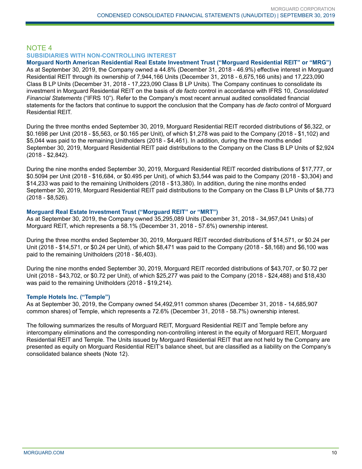### NOTE 4 **SUBSIDIARIES WITH NON-CONTROLLING INTEREST**

**Morguard North American Residential Real Estate Investment Trust ("Morguard Residential REIT" or "MRG")** As at September 30, 2019, the Company owned a 44.8% (December 31, 2018 - 46.9%) effective interest in Morguard Residential REIT through its ownership of 7,944,166 Units (December 31, 2018 - 6,675,166 units) and 17,223,090 Class B LP Units (December 31, 2018 - 17,223,090 Class B LP Units). The Company continues to consolidate its investment in Morguard Residential REIT on the basis of *de facto* control in accordance with IFRS 10, *Consolidated Financial Statements* ("IFRS 10"). Refer to the Company's most recent annual audited consolidated financial statements for the factors that continue to support the conclusion that the Company has *de facto* control of Morguard Residential REIT.

During the three months ended September 30, 2019, Morguard Residential REIT recorded distributions of \$6,322, or \$0.1698 per Unit (2018 - \$5,563, or \$0.165 per Unit), of which \$1,278 was paid to the Company (2018 - \$1,102) and \$5,044 was paid to the remaining Unitholders (2018 - \$4,461). In addition, during the three months ended September 30, 2019, Morguard Residential REIT paid distributions to the Company on the Class B LP Units of \$2,924 (2018 - \$2,842).

During the nine months ended September 30, 2019, Morguard Residential REIT recorded distributions of \$17,777, or \$0.5094 per Unit (2018 - \$16,684, or \$0.495 per Unit), of which \$3,544 was paid to the Company (2018 - \$3,304) and \$14,233 was paid to the remaining Unitholders (2018 - \$13,380). In addition, during the nine months ended September 30, 2019, Morguard Residential REIT paid distributions to the Company on the Class B LP Units of \$8,773 (2018 - \$8,526).

### **Morguard Real Estate Investment Trust ("Morguard REIT" or "MRT")**

As at September 30, 2019, the Company owned 35,295,089 Units (December 31, 2018 - 34,957,041 Units) of Morguard REIT, which represents a 58.1% (December 31, 2018 - 57.6%) ownership interest.

During the three months ended September 30, 2019, Morguard REIT recorded distributions of \$14,571, or \$0.24 per Unit (2018 - \$14,571, or \$0.24 per Unit), of which \$8,471 was paid to the Company (2018 - \$8,168) and \$6,100 was paid to the remaining Unitholders (2018 - \$6,403).

During the nine months ended September 30, 2019, Morguard REIT recorded distributions of \$43,707, or \$0.72 per Unit (2018 - \$43,702, or \$0.72 per Unit), of which \$25,277 was paid to the Company (2018 - \$24,488) and \$18,430 was paid to the remaining Unitholders (2018 - \$19,214).

### **Temple Hotels Inc. ("Temple")**

As at September 30, 2019, the Company owned 54,492,911 common shares (December 31, 2018 - 14,685,907 common shares) of Temple, which represents a 72.6% (December 31, 2018 - 58.7%) ownership interest.

The following summarizes the results of Morguard REIT, Morguard Residential REIT and Temple before any intercompany eliminations and the corresponding non-controlling interest in the equity of Morguard REIT, Morguard Residential REIT and Temple. The Units issued by Morguard Residential REIT that are not held by the Company are presented as equity on Morguard Residential REIT's balance sheet, but are classified as a liability on the Company's consolidated balance sheets (Note 12).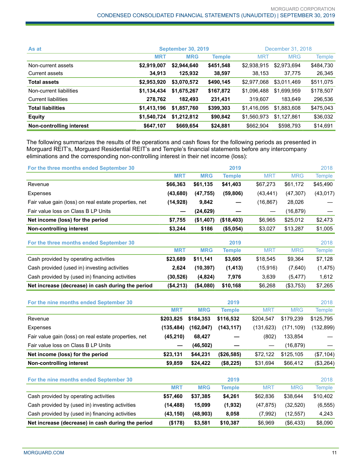| As at                    |             | <b>September 30, 2019</b> |               |             | December 31, 2018 |           |  |
|--------------------------|-------------|---------------------------|---------------|-------------|-------------------|-----------|--|
|                          | <b>MRT</b>  | <b>MRG</b>                | <b>Temple</b> | <b>MRT</b>  | <b>MRG</b>        | Temple    |  |
| Non-current assets       | \$2,919,007 | \$2,944,640               | \$451,548     | \$2,938,915 | \$2,973,694       | \$484,730 |  |
| Current assets           | 34,913      | 125,932                   | 38,597        | 38.153      | 37,775            | 26,345    |  |
| <b>Total assets</b>      | \$2,953,920 | \$3,070,572               | \$490,145     | \$2,977,068 | \$3,011,469       | \$511,075 |  |
| Non-current liabilities  | \$1,134,434 | \$1,675,267               | \$167,872     | \$1,096,488 | \$1,699,959       | \$178,507 |  |
| Current liabilities      | 278,762     | 182,493                   | 231,431       | 319.607     | 183,649           | 296,536   |  |
| <b>Total liabilities</b> | \$1,413,196 | \$1,857,760               | \$399,303     | \$1,416,095 | \$1.883.608       | \$475,043 |  |
| <b>Equity</b>            | \$1,540,724 | \$1,212,812               | \$90,842      | \$1,560,973 | \$1.127.861       | \$36,032  |  |
| Non-controlling interest | \$647,107   | \$669,654                 | \$24,881      | \$662,904   | \$598,793         | \$14,691  |  |

The following summarizes the results of the operations and cash flows for the following periods as presented in Morguard REIT's, Morguard Residential REIT's and Temple's financial statements before any intercompany eliminations and the corresponding non-controlling interest in their net income (loss):

| For the three months ended September 30               |            |            | 2019          |            |            | 2018          |
|-------------------------------------------------------|------------|------------|---------------|------------|------------|---------------|
|                                                       | <b>MRT</b> | <b>MRG</b> | <b>Temple</b> | <b>MRT</b> | <b>MRG</b> | <b>Temple</b> |
| Revenue                                               | \$66,363   | \$61,135   | \$41,403      | \$67,273   | \$61,172   | \$45,490      |
| Expenses                                              | (43, 680)  | (47, 755)  | (59, 806)     | (43, 441)  | (47, 307)  | (43, 017)     |
| Fair value gain (loss) on real estate properties, net | (14, 928)  | 9,842      |               | (16, 867)  | 28,026     |               |
| Fair value loss on Class B LP Units                   |            | (24, 629)  |               |            | (16, 879)  |               |
| Net income (loss) for the period                      | \$7,755    | (\$1,407)  | (\$18,403)    | \$6,965    | \$25,012   | \$2,473       |
| Non-controlling interest                              | \$3,244    | \$186      | (\$5,054)     | \$3,027    | \$13,287   | \$1,005       |
| For the three months ended September 30               |            |            | 2019          |            |            | 2018          |
|                                                       | <b>MRT</b> | <b>MRG</b> | <b>Temple</b> | <b>MRT</b> | <b>MRG</b> | <b>Temple</b> |
| Cash provided by operating activities                 | \$23,689   | \$11,141   | \$3,605       | \$18,545   | \$9,364    | \$7,128       |
| Cash provided (used in) investing activities          | 2,624      | (10, 397)  | (1, 413)      | (15, 916)  | (7,640)    | (1, 475)      |
| Cash provided by (used in) financing activities       | (30, 526)  | (4,824)    | 7,976         | 3,639      | (5, 477)   | 1,612         |
| Net increase (decrease) in cash during the period     | (\$4,213)  | (\$4,080)  | \$10,168      | \$6,268    | (\$3,753)  | \$7,265       |
| For the nine months ended September 30                |            |            | 2019          |            |            | 2018          |
|                                                       | <b>MRT</b> | <b>MRG</b> | <b>Temple</b> | <b>MRT</b> | <b>MRG</b> | <b>Temple</b> |
| Revenue                                               | \$203,825  | \$184,353  | \$116,532     | \$204,547  | \$179,239  | \$125,795     |
| Expenses                                              | (135, 484) | (162, 047) | (143, 117)    | (131, 623) | (171, 109) | (132, 899)    |
| Fair value gain (loss) on real estate properties, net | (45, 210)  | 68,427     |               | (802)      | 133,854    |               |
| Fair value loss on Class B LP Units                   |            | (46, 502)  |               |            | (16, 879)  |               |
| Net income (loss) for the period                      | \$23,131   | \$44,231   | (\$26,585)    | \$72,122   | \$125,105  | (\$7,104)     |
| <b>Non-controlling interest</b>                       | \$9,859    | \$24,422   | (\$8,225)     | \$31,694   | \$66,412   | (\$3,264)     |
| For the nine months ended September 30                |            |            | 2019          |            |            | 2018          |
|                                                       | <b>MRT</b> | <b>MRG</b> | <b>Temple</b> | <b>MRT</b> | <b>MRG</b> | <b>Temple</b> |
| Cash provided by operating activities                 | \$57,460   | \$37,385   | \$4,261       | \$62,836   | \$38,644   | \$10,402      |
| Cash provided by (used in) investing activities       | (14, 488)  | 15,099     | (1,932)       | (47, 875)  | (32, 520)  | (6, 555)      |
| Cash provided by (used in) financing activities       | (43, 150)  | (48, 903)  | 8,058         | (7,992)    | (12, 557)  | 4,243         |
| Net increase (decrease) in cash during the period     | (\$178)    | \$3,581    | \$10,387      | \$6,969    | (\$6,433)  | \$8,090       |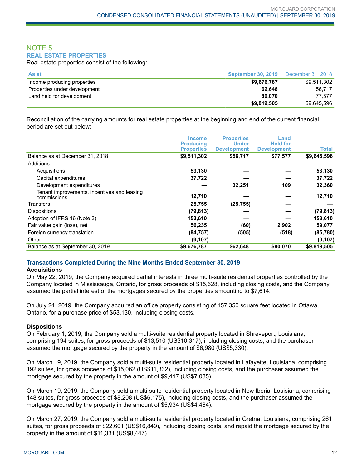### NOTE 5 **REAL ESTATE PROPERTIES**

Real estate properties consist of the following:

| As at                        | <b>September 30, 2019</b> | December 31, 2018 |
|------------------------------|---------------------------|-------------------|
| Income producing properties  | \$9,676,787               | \$9,511,302       |
| Properties under development | 62.648                    | 56.717            |
| Land held for development    | 80.070                    | 77.577            |
|                              | \$9,819,505               | \$9.645.596       |

Reconciliation of the carrying amounts for real estate properties at the beginning and end of the current financial period are set out below:

|                                                            | <b>Income</b><br><b>Producing</b><br><b>Properties</b> | <b>Properties</b><br>Under<br><b>Development</b> | Land<br><b>Held for</b><br><b>Development</b> | Total       |
|------------------------------------------------------------|--------------------------------------------------------|--------------------------------------------------|-----------------------------------------------|-------------|
| Balance as at December 31, 2018                            | \$9,511,302                                            | \$56,717                                         | \$77,577                                      | \$9,645,596 |
| Additions:                                                 |                                                        |                                                  |                                               |             |
| Acquisitions                                               | 53,130                                                 |                                                  |                                               | 53,130      |
| Capital expenditures                                       | 37,722                                                 |                                                  |                                               | 37,722      |
| Development expenditures                                   |                                                        | 32,251                                           | 109                                           | 32,360      |
| Tenant improvements, incentives and leasing<br>commissions | 12,710                                                 |                                                  |                                               | 12,710      |
| Transfers                                                  | 25,755                                                 | (25, 755)                                        |                                               |             |
| <b>Dispositions</b>                                        | (79, 813)                                              |                                                  |                                               | (79, 813)   |
| Adoption of IFRS 16 (Note 3)                               | 153,610                                                |                                                  |                                               | 153,610     |
| Fair value gain (loss), net                                | 56,235                                                 | (60)                                             | 2,902                                         | 59,077      |
| Foreign currency translation                               | (84, 757)                                              | (505)                                            | (518)                                         | (85, 780)   |
| Other                                                      | (9, 107)                                               |                                                  |                                               | (9, 107)    |
| Balance as at September 30, 2019                           | \$9,676,787                                            | \$62,648                                         | \$80,070                                      | \$9,819,505 |

### **Transactions Completed During the Nine Months Ended September 30, 2019**

### **Acquisitions**

On May 22, 2019, the Company acquired partial interests in three multi-suite residential properties controlled by the Company located in Mississauga, Ontario, for gross proceeds of \$15,628, including closing costs, and the Company assumed the partial interest of the mortgages secured by the properties amounting to \$7,614.

On July 24, 2019, the Company acquired an office property consisting of 157,350 square feet located in Ottawa, Ontario, for a purchase price of \$53,130, including closing costs.

### **Dispositions**

On February 1, 2019, the Company sold a multi-suite residential property located in Shreveport, Louisiana, comprising 194 suites, for gross proceeds of \$13,510 (US\$10,317), including closing costs, and the purchaser assumed the mortgage secured by the property in the amount of \$6,980 (US\$5,330).

On March 19, 2019, the Company sold a multi-suite residential property located in Lafayette, Louisiana, comprising 192 suites, for gross proceeds of \$15,062 (US\$11,332), including closing costs, and the purchaser assumed the mortgage secured by the property in the amount of \$9,417 (US\$7,085).

On March 19, 2019, the Company sold a multi-suite residential property located in New Iberia, Louisiana, comprising 148 suites, for gross proceeds of \$8,208 (US\$6,175), including closing costs, and the purchaser assumed the mortgage secured by the property in the amount of \$5,934 (US\$4,464).

On March 27, 2019, the Company sold a multi-suite residential property located in Gretna, Louisiana, comprising 261 suites, for gross proceeds of \$22,601 (US\$16,849), including closing costs, and repaid the mortgage secured by the property in the amount of \$11,331 (US\$8,447).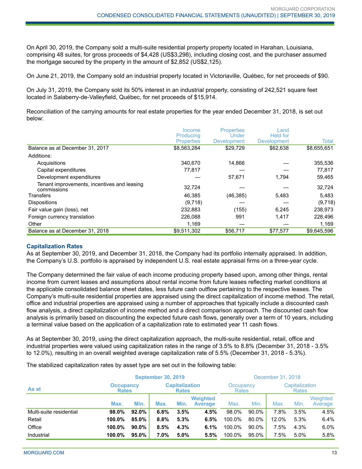On April 30, 2019, the Company sold a multi-suite residential property property located in Harahan, Louisiana, comprising 48 suites, for gross proceeds of \$4,428 (US\$3,298), including closing cost, and the purchaser assumed the mortgage secured by the property in the amount of \$2,852 (US\$2,125).

On June 21, 2019, the Company sold an industrial property located in Victoriaville, Québec, for net proceeds of \$90.

On July 31, 2019, the Company sold its 50% interest in an industrial property, consisting of 242,521 square feet located in Salaberry-de-Valleyfield, Québec, for net proceeds of \$15,914.

Reconciliation of the carrying amounts for real estate properties for the year ended December 31, 2018, is set out below:

|                                                            | Income                         | <b>Properties</b>           | Land.                          |             |
|------------------------------------------------------------|--------------------------------|-----------------------------|--------------------------------|-------------|
|                                                            | Producing<br><b>Properties</b> | Under<br><b>Development</b> | <b>Held for</b><br>Development | Total       |
| Balance as at December 31, 2017                            | \$8,563,284                    | \$29,729                    | \$62,638                       | \$8,655,651 |
| Additions:                                                 |                                |                             |                                |             |
| Acquisitions                                               | 340,670                        | 14,866                      |                                | 355,536     |
| Capital expenditures                                       | 77,817                         |                             |                                | 77,817      |
| Development expenditures                                   |                                | 57,671                      | 1.794                          | 59,465      |
| Tenant improvements, incentives and leasing<br>commissions | 32,724                         |                             |                                | 32,724      |
| Transfers                                                  | 46,385                         | (46, 385)                   | 5,483                          | 5,483       |
| <b>Dispositions</b>                                        | (9,718)                        |                             |                                | (9,718)     |
| Fair value gain (loss), net                                | 232,883                        | (155)                       | 6,245                          | 238,973     |
| Foreign currency translation                               | 226,088                        | 991                         | 1,417                          | 228,496     |
| Other                                                      | 1.169                          |                             |                                | 1,169       |
| Balance as at December 31, 2018                            | \$9,511,302                    | \$56,717                    | \$77,577                       | \$9,645,596 |

#### **Capitalization Rates**

As at September 30, 2019, and December 31, 2018, the Company had its portfolio internally appraised. In addition, the Company's U.S. portfolio is appraised by independent U.S. real estate appraisal firms on a three-year cycle.

The Company determined the fair value of each income producing property based upon, among other things, rental income from current leases and assumptions about rental income from future leases reflecting market conditions at the applicable consolidated balance sheet dates, less future cash outflow pertaining to the respective leases. The Company's multi-suite residential properties are appraised using the direct capitalization of income method. The retail, office and industrial properties are appraised using a number of approaches that typically include a discounted cash flow analysis, a direct capitalization of income method and a direct comparison approach. The discounted cash flow analysis is primarily based on discounting the expected future cash flows, generally over a term of 10 years, including a terminal value based on the application of a capitalization rate to estimated year 11 cash flows.

As at September 30, 2019, using the direct capitalization approach, the multi-suite residential, retail, office and industrial properties were valued using capitalization rates in the range of 3.5% to 8.8% (December 31, 2018 - 3.5% to 12.0%), resulting in an overall weighted average capitalization rate of 5.5% (December 31, 2018 - 5.3%).

The stabilized capitalization rates by asset type are set out in the following table:

|                         | <b>September 30, 2019</b>        |          |                                       |      | December 31, 2018                 |        |                                |       |      |                     |
|-------------------------|----------------------------------|----------|---------------------------------------|------|-----------------------------------|--------|--------------------------------|-------|------|---------------------|
| As at                   | <b>Occupancy</b><br><b>Rates</b> |          | <b>Capitalization</b><br><b>Rates</b> |      | Occupancy<br>Rates                |        | Capitalization<br><b>Rates</b> |       |      |                     |
|                         | Max.                             | Min.     | Max.                                  | Min. | <b>Weighted</b><br><b>Average</b> | Max.   | Min.                           | Max.  | Min. | Weighted<br>Average |
| Multi-suite residential | 98.0%                            | 92.0%    | 6.8%                                  | 3.5% | 4.5%                              | 98.0%  | 90.0%                          | 7.8%  | 3.5% | 4.5%                |
| Retail                  | 100.0%                           | 85.0%    | 8.8%                                  | 5.3% | 6.5%                              | 100.0% | 80.0%                          | 12.0% | 5.3% | 6.4%                |
| Office                  | 100.0%                           | $90.0\%$ | 8.5%                                  | 4.3% | 6.1%                              | 100.0% | 90.0%                          | 7.5%  | 4.3% | 6.0%                |
| Industrial              | 100.0%                           | 95.0%    | 7.0%                                  | 5.0% | 5.5%                              | 100.0% | 95.0%                          | 7.5%  | 5.0% | 5.8%                |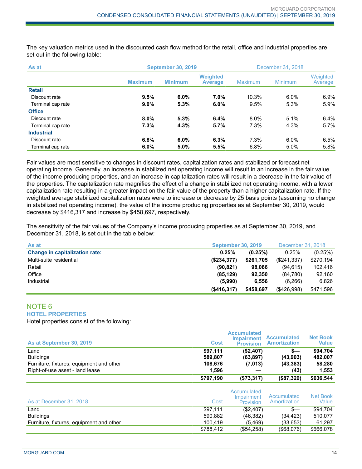The key valuation metrics used in the discounted cash flow method for the retail, office and industrial properties are set out in the following table:

| As at             | <b>September 30, 2019</b> | December 31, 2018 |                                   |                |                |                     |
|-------------------|---------------------------|-------------------|-----------------------------------|----------------|----------------|---------------------|
|                   | <b>Maximum</b>            | <b>Minimum</b>    | <b>Weighted</b><br><b>Average</b> | <b>Maximum</b> | <b>Minimum</b> | Weighted<br>Average |
| <b>Retail</b>     |                           |                   |                                   |                |                |                     |
| Discount rate     | 9.5%                      | $6.0\%$           | 7.0%                              | 10.3%          | $6.0\%$        | $6.9\%$             |
| Terminal cap rate | 9.0%                      | 5.3%              | 6.0%                              | 9.5%           | 5.3%           | 5.9%                |
| <b>Office</b>     |                           |                   |                                   |                |                |                     |
| Discount rate     | 8.0%                      | 5.3%              | 6.4%                              | 8.0%           | 5.1%           | 6.4%                |
| Terminal cap rate | 7.3%                      | 4.3%              | 5.7%                              | 7.3%           | 4.3%           | 5.7%                |
| <b>Industrial</b> |                           |                   |                                   |                |                |                     |
| Discount rate     | 6.8%                      | $6.0\%$           | 6.3%                              | 7.3%           | $6.0\%$        | 6.5%                |
| Terminal cap rate | 6.0%                      | 5.0%              | 5.5%                              | 6.8%           | 5.0%           | 5.8%                |

Fair values are most sensitive to changes in discount rates, capitalization rates and stabilized or forecast net operating income. Generally, an increase in stabilized net operating income will result in an increase in the fair value of the income producing properties, and an increase in capitalization rates will result in a decrease in the fair value of the properties. The capitalization rate magnifies the effect of a change in stabilized net operating income, with a lower capitalization rate resulting in a greater impact on the fair value of the property than a higher capitalization rate. If the weighted average stabilized capitalization rates were to increase or decrease by 25 basis points (assuming no change in stabilized net operating income), the value of the income producing properties as at September 30, 2019, would decrease by \$416,317 and increase by \$458,697, respectively.

The sensitivity of the fair values of the Company's income producing properties as at September 30, 2019, and December 31, 2018, is set out in the table below:

| As at                                 | <b>September 30, 2019</b> |           | December 31, 2018 |           |
|---------------------------------------|---------------------------|-----------|-------------------|-----------|
| <b>Change in capitalization rate:</b> | 0.25%                     | (0.25%)   | 0.25%             | (0.25%)   |
| Multi-suite residential               | (\$234,377)               | \$261,705 | (\$241.337)       | \$270,194 |
| Retail                                | (90, 821)                 | 98.086    | (94.615)          | 102.416   |
| Office                                | (85, 129)                 | 92.350    | (84,780)          | 92.160    |
| Industrial                            | (5.990)                   | 6.556     | (6,266)           | 6.826     |
|                                       | $($ \$416,317)            | \$458.697 | (S426.998)        | \$471,596 |

#### NOTE 6 **HOTEL PROPERTIES**

Hotel properties consist of the following:

| As at September 30, 2019                 | <b>Cost</b> | <b>Accumulated</b><br><b>Impairment</b><br><b>Provision</b> | <b>Accumulated</b><br><b>Amortization</b> | <b>Net Book</b><br>Value |
|------------------------------------------|-------------|-------------------------------------------------------------|-------------------------------------------|--------------------------|
| Land                                     | \$97,111    | (\$2,407)                                                   | s—                                        | \$94,704                 |
| <b>Buildings</b>                         | 589.807     | (63, 897)                                                   | (43,903)                                  | 482.007                  |
| Furniture, fixtures, equipment and other | 108.676     | (7,013)                                                     | (43, 383)                                 | 58,280                   |
| Right-of-use asset - land lease          | 1,596       |                                                             | (43)                                      | 1,553                    |
|                                          | \$797,190   | (\$73,317)                                                  | (\$87,329)                                | \$636,544                |

| As at December 31, 2018                  | Cost      | Accumulated<br>Impairment<br><b>Provision</b> | Accumulated<br>Amortization | Net Book<br>Value |
|------------------------------------------|-----------|-----------------------------------------------|-----------------------------|-------------------|
| ∟and                                     | \$97.111  | (\$2,407)                                     | $s-$                        | \$94.704          |
| <b>Buildings</b>                         | 590.882   | (46, 382)                                     | (34.423)                    | 510.077           |
| Furniture, fixtures, equipment and other | 100.419   | (5, 469)                                      | (33.653)                    | 61.297            |
|                                          | \$788,412 | (\$54,258)                                    | $($ \$68,076)               | \$666,078         |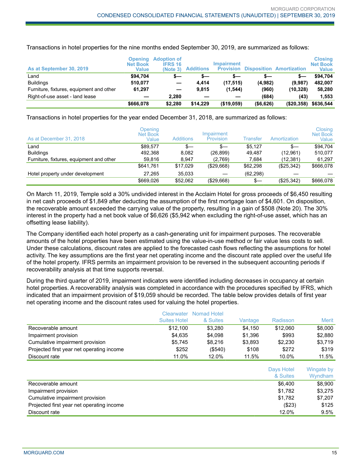| As at September 30, 2019                 | <b>Opening</b><br><b>Net Book</b><br>Value | <b>Adoption of</b><br><b>IFRS 16</b><br>(Note 3) | <b>Additions</b> | <b>Impairment</b><br><b>Provision</b> |            | <b>Disposition Amortization</b> | <b>Closing</b><br><b>Net Book</b><br><b>Value</b> |
|------------------------------------------|--------------------------------------------|--------------------------------------------------|------------------|---------------------------------------|------------|---------------------------------|---------------------------------------------------|
| Land                                     | \$94.704                                   | s—                                               | s—               | s—                                    | s—         |                                 | \$94.704                                          |
| <b>Buildings</b>                         | 510,077                                    | -                                                | 4.414            | (17, 515)                             | (4,982)    | (9,987)                         | 482.007                                           |
| Furniture, fixtures, equipment and other | 61,297                                     | $\overline{\phantom{a}}$                         | 9.815            | (1, 544)                              | (960)      | (10, 328)                       | 58,280                                            |
| Right-of-use asset - land lease          |                                            | 2.280                                            |                  |                                       | (684)      | (43)                            | 1.553                                             |
|                                          | \$666,078                                  | \$2,280                                          | \$14.229         | $($ \$19,059)                         | ( \$6,626) | (\$20,358)                      | \$636,544                                         |

Transactions in hotel properties for the nine months ended September 30, 2019, are summarized as follows:

Transactions in hotel properties for the year ended December 31, 2018, are summarized as follows:

| As at December 31, 2018                  | Opening<br><b>Net Book</b><br>Value | <b>Additions</b> | Impairment<br><b>Provision</b> | <b>Transfer</b> | Amortization | Closing<br>Net Book<br>Value |
|------------------------------------------|-------------------------------------|------------------|--------------------------------|-----------------|--------------|------------------------------|
| Land                                     | \$89,577                            | $s-$             | s—                             | \$5.127         | $s-$         | \$94.704                     |
| <b>Buildings</b>                         | 492.368                             | 8.082            | (26, 899)                      | 49.487          | (12, 961)    | 510.077                      |
| Furniture, fixtures, equipment and other | 59,816                              | 8.947            | (2,769)                        | 7.684           | (12, 381)    | 61,297                       |
|                                          | \$641.761                           | \$17.029         | (\$29,668)                     | \$62,298        | (\$25,342)   | \$666,078                    |
| Hotel property under development         | 27.265                              | 35.033           |                                | (62, 298)       |              |                              |
|                                          | \$669.026                           | \$52,062         | (\$29,668)                     | \$—             | (\$25,342)   | \$666,078                    |

On March 11, 2019, Temple sold a 30% undivided interest in the Acclaim Hotel for gross proceeds of \$6,450 resulting in net cash proceeds of \$1,849 after deducting the assumption of the first mortgage loan of \$4,601. On disposition, the recoverable amount exceeded the carrying value of the property, resulting in a gain of \$508 (Note 20). The 30% interest in the property had a net book value of \$6,626 (\$5,942 when excluding the right-of-use asset, which has an offsetting lease liability).

The Company identified each hotel property as a cash-generating unit for impairment purposes. The recoverable amounts of the hotel properties have been estimated using the value-in-use method or fair value less costs to sell. Under these calculations, discount rates are applied to the forecasted cash flows reflecting the assumptions for hotel activity. The key assumptions are the first year net operating income and the discount rate applied over the useful life of the hotel property. IFRS permits an impairment provision to be reversed in the subsequent accounting periods if recoverability analysis at that time supports reversal.

During the third quarter of 2019, impairment indicators were identified including decreases in occupancy at certain hotel properties. A recoverability analysis was completed in accordance with the procedures specified by IFRS, which indicated that an impairment provision of \$19,059 should be recorded. The table below provides details of first year net operating income and the discount rates used for valuing the hotel properties.

|                                           | <b>Clearwater</b><br><b>Suites Hotel</b> | Nomad Hotel<br>& Suites | Vantage | Radisson | Merit   |
|-------------------------------------------|------------------------------------------|-------------------------|---------|----------|---------|
| Recoverable amount                        | \$12,100                                 | \$3.280                 | \$4,150 | \$12,060 | \$8,000 |
| Impairment provision                      | \$4.635                                  | \$4,098                 | \$1.396 | \$993    | \$2,880 |
|                                           | \$5.745                                  | \$8.216                 | \$3.893 | \$2,230  | \$3.719 |
| Cumulative impairment provision           |                                          |                         |         |          |         |
| Projected first year net operating income | \$252                                    | $($ \$540)              | \$108   | \$272    | \$319   |
| Discount rate                             | 11.0%                                    | 12.0%                   | 11.5%   | 10.0%    | 11.5%   |

|                                           | Days Hotel<br>& Suites | Wingate by<br>Wyndham |
|-------------------------------------------|------------------------|-----------------------|
| Recoverable amount                        | \$6.400                | \$8,900               |
| Impairment provision                      | \$1.782                | \$3.275               |
| Cumulative impairment provision           | \$1.782                | \$7.207               |
| Projected first year net operating income | (S23)                  | \$125                 |
| Discount rate                             | 12.0%                  | $9.5\%$               |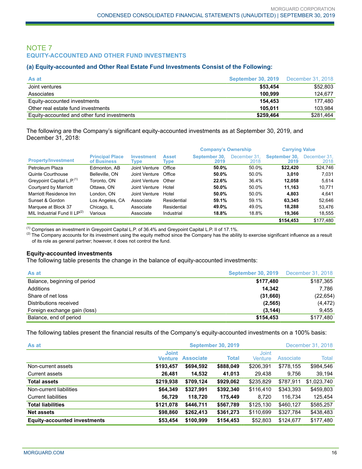### NOTE 7 **EQUITY-ACCOUNTED AND OTHER FUND INVESTMENTS**

#### **(a) Equity-accounted and Other Real Estate Fund Investments Consist of the Following:**

| As at                                       | <b>September 30, 2019</b> December 31, 2018 |           |
|---------------------------------------------|---------------------------------------------|-----------|
| Joint ventures                              | \$53,454                                    | \$52,803  |
| Associates                                  | 100.999                                     | 124.677   |
| Equity-accounted investments                | 154.453                                     | 177.480   |
| Other real estate fund investments          | 105.011                                     | 103.984   |
| Equity-accounted and other fund investments | \$259,464                                   | \$281,464 |

The following are the Company's significant equity-accounted investments as at September 30, 2019, and December 31, 2018:

|                                       |                                       |                           |                      | <b>Company's Ownership</b> |                      | <b>Carrying Value</b> |                      |
|---------------------------------------|---------------------------------------|---------------------------|----------------------|----------------------------|----------------------|-----------------------|----------------------|
| <b>Property/Investment</b>            | <b>Principal Place</b><br>of Business | <b>Investment</b><br>Type | <b>Asset</b><br>Type | September 30.<br>2019      | December 31.<br>2018 | September 30.<br>2019 | December 31.<br>2018 |
| Petroleum Plaza                       | Edmonton, AB                          | Joint Venture             | Office               | 50.0%                      | 50.0%                | \$22,420              | \$24,746             |
| Quinte Courthouse                     | Belleville, ON                        | Joint Venture             | Office               | 50.0%                      | 50.0%                | 3.010                 | 7.031                |
| Greypoint Capital L.P. <sup>(1)</sup> | Toronto. ON                           | Joint Venture             | Other                | 22.6%                      | 36.4%                | 12.058                | 5.614                |
| Courtyard by Marriott                 | Ottawa, ON                            | Joint Venture             | Hotel                | 50.0%                      | 50.0%                | 11,163                | 10,771               |
| Marriott Residence Inn                | London, ON                            | Joint Venture             | Hotel                | 50.0%                      | 50.0%                | 4.803                 | 4.641                |
| Sunset & Gordon                       | Los Angeles, CA                       | Associate                 | Residential          | 59.1%                      | 59.1%                | 63.345                | 52,646               |
| Marquee at Block 37                   | Chicago, IL                           | Associate                 | Residential          | 49.0%                      | 49.0%                | 18.288                | 53.476               |
| MIL Industrial Fund II $LP^{(2)}$     | Various                               | Associate                 | Industrial           | 18.8%                      | 18.8%                | 19,366                | 18,555               |
|                                       |                                       |                           |                      |                            |                      | \$154.453             | \$177.480            |

(1) Comprises an investment in Greypoint Capital L.P. of 36.4% and Greypoint Capital L.P. II of 17.1%.

 $(2)$  The Company accounts for its investment using the equity method since the Company has the ability to exercise significant influence as a result of its role as general partner; however, it does not control the fund.

### **Equity-accounted investments**

The following table presents the change in the balance of equity-accounted investments:

| As at                        | <b>September 30, 2019</b> | December 31, 2018 |
|------------------------------|---------------------------|-------------------|
| Balance, beginning of period | \$177,480                 | \$187,365         |
| Additions                    | 14.342                    | 7.786             |
| Share of net loss            | (31,660)                  | (22, 654)         |
| Distributions received       | (2, 565)                  | (4, 472)          |
| Foreign exchange gain (loss) | (3, 144)                  | 9.455             |
| Balance, end of period       | \$154,453                 | \$177,480         |

The following tables present the financial results of the Company's equity-accounted investments on a 100% basis:

| As at                               | <b>September 30, 2019</b><br>December 31, 2018 |                  |              |                                |           |             |
|-------------------------------------|------------------------------------------------|------------------|--------------|--------------------------------|-----------|-------------|
|                                     | <b>Joint</b><br><b>Venture</b>                 | <b>Associate</b> | <b>Total</b> | <b>Joint</b><br><b>Venture</b> | Associate | Total       |
| Non-current assets                  | \$193,457                                      | \$694,592        | \$888,049    | \$206,391                      | \$778,155 | \$984,546   |
| Current assets                      | 26,481                                         | 14,532           | 41,013       | 29,438                         | 9,756     | 39,194      |
| <b>Total assets</b>                 | \$219,938                                      | \$709,124        | \$929,062    | \$235,829                      | \$787,911 | \$1,023,740 |
| Non-current liabilities             | \$64,349                                       | \$327,991        | \$392,340    | \$116,410                      | \$343,393 | \$459,803   |
| <b>Current liabilities</b>          | 56,729                                         | 118,720          | 175,449      | 8,720                          | 116,734   | 125,454     |
| <b>Total liabilities</b>            | \$121,078                                      | \$446,711        | \$567,789    | \$125,130                      | \$460,127 | \$585,257   |
| <b>Net assets</b>                   | \$98,860                                       | \$262,413        | \$361,273    | \$110,699                      | \$327,784 | \$438,483   |
| <b>Equity-accounted investments</b> | \$53,454                                       | \$100,999        | \$154,453    | \$52,803                       | \$124,677 | \$177,480   |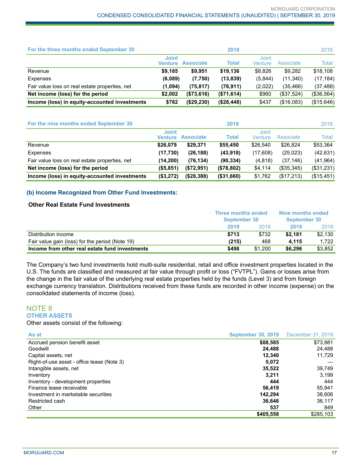| For the three months ended September 30        |                         |                  | 2019       |                  |            | 2018       |
|------------------------------------------------|-------------------------|------------------|------------|------------------|------------|------------|
|                                                | <b>Joint</b><br>Venture | <b>Associate</b> | Total      | Joint<br>Venture | Associate  | Total      |
| Revenue                                        | \$9,185                 | \$9,951          | \$19,136   | \$8.826          | \$9.282    | \$18,108   |
| Expenses                                       | (6,089)                 | (7,750)          | (13, 839)  | (5,844)          | (11,340)   | (17, 184)  |
| Fair value loss on real estate properties, net | (1,094)                 | (75, 817)        | (76, 911)  | (2,022)          | (35, 466)  | (37, 488)  |
| Net income (loss) for the period               | \$2.002                 | (\$73,616)       | (\$71,614) | \$960            | (\$37,524) | (\$36,564) |
| Income (loss) in equity-accounted investments  | \$782                   | (\$29,230)       | (\$28,448) | \$437            | (\$16,083) | (\$15,646) |

| For the nine months ended September 30         |                         |                  | 2019        |                  |            | 2018       |
|------------------------------------------------|-------------------------|------------------|-------------|------------------|------------|------------|
|                                                | <b>Joint</b><br>Venture | <b>Associate</b> | Total       | Joint<br>Venture | Associate  | Total      |
| Revenue                                        | \$26,079                | \$29.371         | \$55,450    | \$26,540         | \$26,824   | \$53,364   |
| Expenses                                       | (17,730)                | (26, 188)        | (43,918)    | (17,608)         | (25, 023)  | (42, 631)  |
| Fair value loss on real estate properties, net | (14, 200)               | (76, 134)        | (90, 334)   | (4,818)          | (37, 146)  | (41,964)   |
| Net income (loss) for the period               | (\$5,851)               | (\$72,951)       | (\$78,802)  | \$4,114          | (\$35,345) | (\$31,231) |
| Income (loss) in equity-accounted investments  | (\$3,272)               | ( \$28, 388)     | ( \$31,660) | \$1,762          | (\$17,213) | (\$15,451) |

### **(b) Income Recognized from Other Fund Investments:**

### **Other Real Estate Fund Investments**

|                                                 | <b>Three months ended</b><br><b>September 30</b> |         | Nine months ended<br><b>September 30</b> |         |
|-------------------------------------------------|--------------------------------------------------|---------|------------------------------------------|---------|
|                                                 |                                                  |         |                                          |         |
|                                                 | 2019                                             | 2018    | 2019                                     | 2018    |
| Distribution income                             | \$713                                            | \$732   | \$2.181                                  | \$2,130 |
| Fair value gain (loss) for the period (Note 19) | (215)                                            | 468     | 4.115                                    | 1.722   |
| Income from other real estate fund investments  | \$498                                            | \$1.200 | \$6,296                                  | \$3.852 |

The Company's two fund investments hold multi-suite residential, retail and office investment properties located in the U.S. The funds are classified and measured at fair value through profit or loss ("FVTPL"). Gains or losses arise from the change in the fair value of the underlying real estate properties held by the funds (Level 3) and from foreign exchange currency translation. Distributions received from these funds are recorded in other income (expense) on the consolidated statements of income (loss).

### NOTE 8 **OTHER ASSETS**

Other assets consist of the following:

| As at                                      | <b>September 30, 2019</b> | December 31, 2018 |
|--------------------------------------------|---------------------------|-------------------|
| Accrued pension benefit asset              | \$88,585                  | \$73,981          |
| Goodwill                                   | 24,488                    | 24,488            |
| Capital assets, net                        | 12.340                    | 11.729            |
| Right-of-use asset - office lease (Note 3) | 5,072                     |                   |
| Intangible assets, net                     | 35,522                    | 39,749            |
| Inventory                                  | 3.211                     | 3.199             |
| Inventory - development properties         | 444                       | 444               |
| Finance lease receivable                   | 56.419                    | 55,941            |
| Investment in marketable securities        | 142.294                   | 38,606            |
| Restricted cash                            | 36.646                    | 36,117            |
| Other                                      | 537                       | 849               |
|                                            | \$405,558                 | \$285,103         |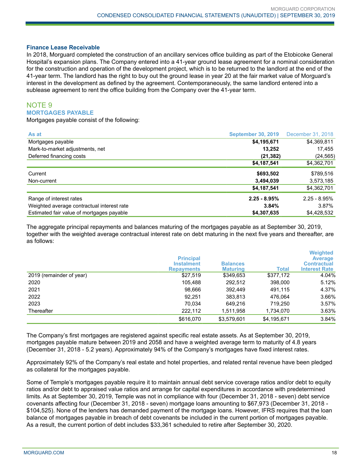#### **Finance Lease Receivable**

In 2018, Morguard completed the construction of an ancillary services office building as part of the Etobicoke General Hospital's expansion plans. The Company entered into a 41-year ground lease agreement for a nominal consideration for the construction and operation of the development project, which is to be returned to the landlord at the end of the 41-year term. The landlord has the right to buy out the ground lease in year 20 at the fair market value of Morguard's interest in the development as defined by the agreement. Contemporaneously, the same landlord entered into a sublease agreement to rent the office building from the Company over the 41-year term.

### NOTE 9 **MORTGAGES PAYABLE**

Mortgages payable consist of the following:

| As at                                      | <b>September 30, 2019</b> | December 31, 2018 |
|--------------------------------------------|---------------------------|-------------------|
| Mortgages payable                          | \$4,195,671               | \$4,369,811       |
| Mark-to-market adjustments, net            | 13,252                    | 17,455            |
| Deferred financing costs                   | (21, 382)                 | (24, 565)         |
|                                            | \$4,187,541               | \$4,362,701       |
| Current                                    | \$693,502                 | \$789,516         |
| Non-current                                | 3,494,039                 | 3,573,185         |
|                                            | \$4,187,541               | \$4,362,701       |
| Range of interest rates                    | $2.25 - 8.95%$            | $2.25 - 8.95\%$   |
| Weighted average contractual interest rate | 3.84%                     | 3.87%             |
| Estimated fair value of mortgages payable  | \$4,307,635               | \$4,428,532       |

The aggregate principal repayments and balances maturing of the mortgages payable as at September 30, 2019, together with the weighted average contractual interest rate on debt maturing in the next five years and thereafter, are as follows:

|                          | <b>Principal</b><br><b>Instalment</b><br><b>Repayments</b> | <b>Balances</b><br><b>Maturing</b> | Total       | <b>Weighted</b><br><b>Average</b><br><b>Contractual</b><br><b>Interest Rate</b> |
|--------------------------|------------------------------------------------------------|------------------------------------|-------------|---------------------------------------------------------------------------------|
| 2019 (remainder of year) | \$27,519                                                   | \$349,653                          | \$377,172   | 4.04%                                                                           |
| 2020                     | 105,488                                                    | 292,512                            | 398,000     | 5.12%                                                                           |
| 2021                     | 98,666                                                     | 392,449                            | 491.115     | 4.37%                                                                           |
| 2022                     | 92.251                                                     | 383,813                            | 476.064     | 3.66%                                                                           |
| 2023                     | 70,034                                                     | 649.216                            | 719.250     | 3.57%                                                                           |
| Thereafter               | 222,112                                                    | 1,511,958                          | 1,734,070   | 3.63%                                                                           |
|                          | \$616,070                                                  | \$3,579,601                        | \$4,195,671 | 3.84%                                                                           |

The Company's first mortgages are registered against specific real estate assets. As at September 30, 2019, mortgages payable mature between 2019 and 2058 and have a weighted average term to maturity of 4.8 years (December 31, 2018 - 5.2 years). Approximately 94% of the Company's mortgages have fixed interest rates.

Approximately 92% of the Company's real estate and hotel properties, and related rental revenue have been pledged as collateral for the mortgages payable.

Some of Temple's mortgages payable require it to maintain annual debt service coverage ratios and/or debt to equity ratios and/or debt to appraised value ratios and arrange for capital expenditures in accordance with predetermined limits. As at September 30, 2019, Temple was not in compliance with four (December 31, 2018 - seven) debt service covenants affecting four (December 31, 2018 - seven) mortgage loans amounting to \$67,973 (December 31, 2018 - \$104,525). None of the lenders has demanded payment of the mortgage loans. However, IFRS requires that the loan balance of mortgages payable in breach of debt covenants be included in the current portion of mortgages payable. As a result, the current portion of debt includes \$33,361 scheduled to retire after September 30, 2020.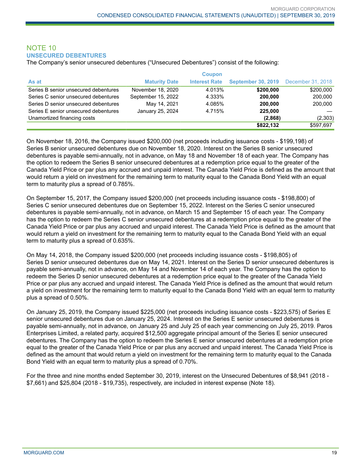### NOTE 10 **UNSECURED DEBENTURES**

The Company's senior unsecured debentures ("Unsecured Debentures") consist of the following:

|                                      |                      | <b>Coupon</b>        |                                             |           |
|--------------------------------------|----------------------|----------------------|---------------------------------------------|-----------|
| As at                                | <b>Maturity Date</b> | <b>Interest Rate</b> | <b>September 30, 2019</b> December 31, 2018 |           |
| Series B senior unsecured debentures | November 18, 2020    | 4.013%               | \$200,000                                   | \$200,000 |
| Series C senior unsecured debentures | September 15, 2022   | 4.333%               | 200.000                                     | 200,000   |
| Series D senior unsecured debentures | May 14, 2021         | 4.085%               | 200.000                                     | 200,000   |
| Series E senior unsecured debentures | January 25, 2024     | 4.715%               | 225,000                                     |           |
| Unamortized financing costs          |                      |                      | (2,868)                                     | (2,303)   |
|                                      |                      |                      | \$822,132                                   | \$597,697 |

On November 18, 2016, the Company issued \$200,000 (net proceeds including issuance costs - \$199,198) of Series B senior unsecured debentures due on November 18, 2020. Interest on the Series B senior unsecured debentures is payable semi-annually, not in advance, on May 18 and November 18 of each year. The Company has the option to redeem the Series B senior unsecured debentures at a redemption price equal to the greater of the Canada Yield Price or par plus any accrued and unpaid interest. The Canada Yield Price is defined as the amount that would return a yield on investment for the remaining term to maturity equal to the Canada Bond Yield with an equal term to maturity plus a spread of 0.785%.

On September 15, 2017, the Company issued \$200,000 (net proceeds including issuance costs - \$198,800) of Series C senior unsecured debentures due on September 15, 2022. Interest on the Series C senior unsecured debentures is payable semi-annually, not in advance, on March 15 and September 15 of each year. The Company has the option to redeem the Series C senior unsecured debentures at a redemption price equal to the greater of the Canada Yield Price or par plus any accrued and unpaid interest. The Canada Yield Price is defined as the amount that would return a yield on investment for the remaining term to maturity equal to the Canada Bond Yield with an equal term to maturity plus a spread of 0.635%.

On May 14, 2018, the Company issued \$200,000 (net proceeds including issuance costs - \$198,805) of Series D senior unsecured debentures due on May 14, 2021. Interest on the Series D senior unsecured debentures is payable semi-annually, not in advance, on May 14 and November 14 of each year. The Company has the option to redeem the Series D senior unsecured debentures at a redemption price equal to the greater of the Canada Yield Price or par plus any accrued and unpaid interest. The Canada Yield Price is defined as the amount that would return a yield on investment for the remaining term to maturity equal to the Canada Bond Yield with an equal term to maturity plus a spread of 0.50%.

On January 25, 2019, the Company issued \$225,000 (net proceeds including issuance costs - \$223,575) of Series E senior unsecured debentures due on January 25, 2024. Interest on the Series E senior unsecured debentures is payable semi-annually, not in advance, on January 25 and July 25 of each year commencing on July 25, 2019. Paros Enterprises Limited, a related party, acquired \$12,500 aggregate principal amount of the Series E senior unsecured debentures. The Company has the option to redeem the Series E senior unsecured debentures at a redemption price equal to the greater of the Canada Yield Price or par plus any accrued and unpaid interest. The Canada Yield Price is defined as the amount that would return a yield on investment for the remaining term to maturity equal to the Canada Bond Yield with an equal term to maturity plus a spread of 0.70%.

For the three and nine months ended September 30, 2019, interest on the Unsecured Debentures of \$8,941 (2018 - \$7,661) and \$25,804 (2018 - \$19,735), respectively, are included in interest expense (Note 18).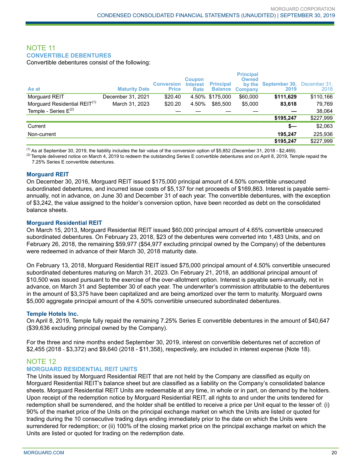### NOTE 11 **CONVERTIBLE DEBENTURES**

Convertible debentures consist of the following:

| As at                                    | <b>Maturity Date</b> | <b>Conversion</b><br><b>Price</b> | <b>Coupon</b><br><b>Interest</b><br>Rate | <b>Principal</b><br><b>Balance</b> | <b>Principal</b><br><b>Owned</b><br>by the<br>Company | September 30,<br>2019 | December 31.<br>2018 |
|------------------------------------------|----------------------|-----------------------------------|------------------------------------------|------------------------------------|-------------------------------------------------------|-----------------------|----------------------|
| Morguard REIT                            | December 31, 2021    | \$20.40                           |                                          | 4.50% \$175,000                    | \$60,000                                              | \$111,629             | \$110,166            |
| Morguard Residential REIT <sup>(1)</sup> | March 31, 2023       | \$20.20                           | 4.50%                                    | \$85,500                           | \$5,000                                               | 83,618                | 79,769               |
| Temple - Series $E^{(2)}$                |                      |                                   |                                          |                                    |                                                       |                       | 38,064               |
|                                          |                      |                                   |                                          |                                    |                                                       | \$195,247             | \$227,999            |
| Current                                  |                      |                                   |                                          |                                    |                                                       | \$—                   | \$2,063              |
| Non-current                              |                      |                                   |                                          |                                    |                                                       | 195.247               | 225,936              |
|                                          |                      |                                   |                                          |                                    |                                                       | \$195,247             | \$227,999            |

 $<sup>(1)</sup>$  As at September 30, 2019, the liability includes the fair value of the conversion option of \$5,852 (December 31, 2018 - \$2,469).</sup>

 $^{(2)}$  Temple delivered notice on March 4, 2019 to redeem the outstanding Series E convertible debentures and on April 8, 2019, Temple repaid the 7.25% Series E convertible debentures.

#### **Morguard REIT**

On December 30, 2016, Morguard REIT issued \$175,000 principal amount of 4.50% convertible unsecured subordinated debentures, and incurred issue costs of \$5,137 for net proceeds of \$169,863. Interest is payable semiannually, not in advance, on June 30 and December 31 of each year. The convertible debentures, with the exception of \$3,242, the value assigned to the holder's conversion option, have been recorded as debt on the consolidated balance sheets.

#### **Morguard Residential REIT**

On March 15, 2013, Morguard Residential REIT issued \$60,000 principal amount of 4.65% convertible unsecured subordinated debentures. On February 23, 2018, \$23 of the debentures were converted into 1,483 Units, and on February 26, 2018, the remaining \$59,977 (\$54,977 excluding principal owned by the Company) of the debentures were redeemed in advance of their March 30, 2018 maturity date.

On February 13, 2018, Morguard Residential REIT issued \$75,000 principal amount of 4.50% convertible unsecured subordinated debentures maturing on March 31, 2023. On February 21, 2018, an additional principal amount of \$10,500 was issued pursuant to the exercise of the over-allotment option. Interest is payable semi-annually, not in advance, on March 31 and September 30 of each year. The underwriter's commission attributable to the debentures in the amount of \$3,375 have been capitalized and are being amortized over the term to maturity. Morguard owns \$5,000 aggregate principal amount of the 4.50% convertible unsecured subordinated debentures.

#### **Temple Hotels Inc.**

On April 8, 2019, Temple fully repaid the remaining 7.25% Series E convertible debentures in the amount of \$40,647 (\$39,636 excluding principal owned by the Company).

For the three and nine months ended September 30, 2019, interest on convertible debentures net of accretion of \$2,455 (2018 - \$3,372) and \$9,640 (2018 - \$11,358), respectively, are included in interest expense (Note 18).

### NOTE 12

### **MORGUARD RESIDENTIAL REIT UNITS**

The Units issued by Morguard Residential REIT that are not held by the Company are classified as equity on Morguard Residential REIT's balance sheet but are classified as a liability on the Company's consolidated balance sheets. Morguard Residential REIT Units are redeemable at any time, in whole or in part, on demand by the holders. Upon receipt of the redemption notice by Morguard Residential REIT, all rights to and under the units tendered for redemption shall be surrendered, and the holder shall be entitled to receive a price per Unit equal to the lesser of: (i) 90% of the market price of the Units on the principal exchange market on which the Units are listed or quoted for trading during the 10 consecutive trading days ending immediately prior to the date on which the Units were surrendered for redemption; or (ii) 100% of the closing market price on the principal exchange market on which the Units are listed or quoted for trading on the redemption date.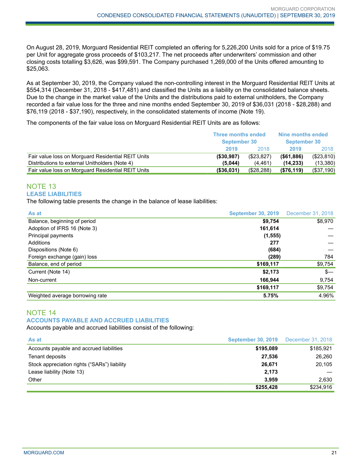On August 28, 2019, Morguard Residential REIT completed an offering for 5,226,200 Units sold for a price of \$19.75 per Unit for aggregate gross proceeds of \$103,217. The net proceeds after underwriters' commission and other closing costs totalling \$3,626, was \$99,591. The Company purchased 1,269,000 of the Units offered amounting to \$25,063.

As at September 30, 2019, the Company valued the non-controlling interest in the Morguard Residential REIT Units at \$554,314 (December 31, 2018 - \$417,481) and classified the Units as a liability on the consolidated balance sheets. Due to the change in the market value of the Units and the distributions paid to external unitholders, the Company recorded a fair value loss for the three and nine months ended September 30, 2019 of \$36,031 (2018 - \$28,288) and \$76,119 (2018 - \$37,190), respectively, in the consolidated statements of income (Note 19).

The components of the fair value loss on Morguard Residential REIT Units are as follows:

|                                                    | <b>Three months ended</b><br><b>September 30</b> |            | Nine months ended<br><b>September 30</b> |            |
|----------------------------------------------------|--------------------------------------------------|------------|------------------------------------------|------------|
|                                                    | 2019                                             | 2018       | 2019                                     | 2018       |
| Fair value loss on Morguard Residential REIT Units | ( \$30, 987)                                     | (\$23,827) | $($ \$61,886)                            | (\$23,810) |
| Distributions to external Unitholders (Note 4)     | (5.044)                                          | (4.461)    | (14, 233)                                | (13,380)   |
| Fair value loss on Morguard Residential REIT Units | ( \$36,031)                                      | (\$28,288) | (\$76,119)                               | (\$37,190) |

### NOTE 13 **LEASE LIABILITIES**

The following table presents the change in the balance of lease liabilities:

| As at                           | <b>September 30, 2019</b> | December 31, 2018 |
|---------------------------------|---------------------------|-------------------|
| Balance, beginning of period    | \$9,754                   | \$8,970           |
| Adoption of IFRS 16 (Note 3)    | 161,614                   |                   |
| Principal payments              | (1, 555)                  |                   |
| Additions                       | 277                       |                   |
| Dispositions (Note 6)           | (684)                     |                   |
| Foreign exchange (gain) loss    | (289)                     | 784               |
| Balance, end of period          | \$169,117                 | \$9,754           |
| Current (Note 14)               | \$2,173                   | $s-$              |
| Non-current                     | 166,944                   | 9,754             |
|                                 | \$169,117                 | \$9,754           |
| Weighted average borrowing rate | 5.75%                     | 4.96%             |

### NOTE 14 **ACCOUNTS PAYABLE AND ACCRUED LIABILITIES**

Accounts payable and accrued liabilities consist of the following:

| As at                                        | <b>September 30, 2019</b> December 31, 2018 |           |
|----------------------------------------------|---------------------------------------------|-----------|
| Accounts payable and accrued liabilities     | \$195,089                                   | \$185,921 |
| Tenant deposits                              | 27,536                                      | 26,260    |
| Stock appreciation rights ("SARs") liability | 26,671                                      | 20,105    |
| Lease liability (Note 13)                    | 2,173                                       |           |
| Other                                        | 3.959                                       | 2.630     |
|                                              | \$255,428                                   | \$234,916 |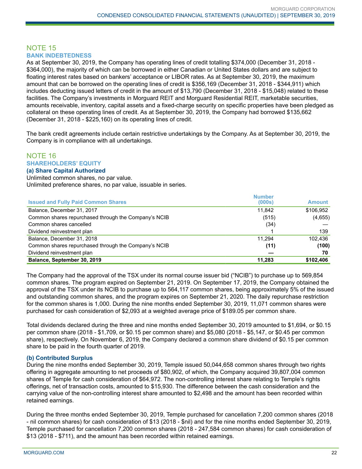#### NOTE 15 **BANK INDEBTEDNESS**

As at September 30, 2019, the Company has operating lines of credit totalling \$374,000 (December 31, 2018 - \$364,000), the majority of which can be borrowed in either Canadian or United States dollars and are subject to floating interest rates based on bankers' acceptance or LIBOR rates. As at September 30, 2019, the maximum amount that can be borrowed on the operating lines of credit is \$356,169 (December 31, 2018 - \$344,911) which includes deducting issued letters of credit in the amount of \$13,790 (December 31, 2018 - \$15,048) related to these facilities. The Company's investments in Morguard REIT and Morguard Residential REIT, marketable securities, amounts receivable, inventory, capital assets and a fixed-charge security on specific properties have been pledged as collateral on these operating lines of credit. As at September 30, 2019, the Company had borrowed \$135,662 (December 31, 2018 - \$225,160) on its operating lines of credit.

The bank credit agreements include certain restrictive undertakings by the Company. As at September 30, 2019, the Company is in compliance with all undertakings.

### NOTE 16 **SHAREHOLDERS' EQUITY**

#### **(a) Share Capital Authorized**

Unlimited common shares, no par value. Unlimited preference shares, no par value, issuable in series.

|                                                      | <b>Number</b> |               |
|------------------------------------------------------|---------------|---------------|
| <b>Issued and Fully Paid Common Shares</b>           | (000s)        | <b>Amount</b> |
| Balance, December 31, 2017                           | 11.842        | \$106,952     |
| Common shares repurchased through the Company's NCIB | (515)         | (4,655)       |
| Common shares cancelled                              | (34)          |               |
| Dividend reinvestment plan                           |               | 139           |
| Balance, December 31, 2018                           | 11.294        | 102.436       |
| Common shares repurchased through the Company's NCIB | (11)          | (100)         |
| Dividend reinvestment plan                           |               | 70            |
| Balance, September 30, 2019                          | 11,283        | \$102,406     |

The Company had the approval of the TSX under its normal course issuer bid ("NCIB") to purchase up to 569,854 common shares. The program expired on September 21, 2019. On September 17, 2019, the Company obtained the approval of the TSX under its NCIB to purchase up to 564,117 common shares, being approximately 5% of the issued and outstanding common shares, and the program expires on September 21, 2020. The daily repurchase restriction for the common shares is 1,000. During the nine months ended September 30, 2019, 11,071 common shares were purchased for cash consideration of \$2,093 at a weighted average price of \$189.05 per common share.

Total dividends declared during the three and nine months ended September 30, 2019 amounted to \$1,694, or \$0.15 per common share (2018 - \$1,709, or \$0.15 per common share) and \$5,080 (2018 - \$5,147, or \$0.45 per common share), respectively. On November 6, 2019, the Company declared a common share dividend of \$0.15 per common share to be paid in the fourth quarter of 2019.

### **(b) Contributed Surplus**

During the nine months ended September 30, 2019, Temple issued 50,044,658 common shares through two rights offering in aggregate amounting to net proceeds of \$80,902, of which, the Company acquired 39,807,004 common shares of Temple for cash consideration of \$64,972. The non-controlling interest share relating to Temple's rights offerings, net of transaction costs, amounted to \$15,930. The difference between the cash consideration and the carrying value of the non-controlling interest share amounted to \$2,498 and the amount has been recorded within retained earnings.

During the three months ended September 30, 2019, Temple purchased for cancellation 7,200 common shares (2018 - nil common shares) for cash consideration of \$13 (2018 - \$nil) and for the nine months ended September 30, 2019, Temple purchased for cancellation 7,200 common shares (2018 - 247,584 common shares) for cash consideration of \$13 (2018 - \$711), and the amount has been recorded within retained earnings.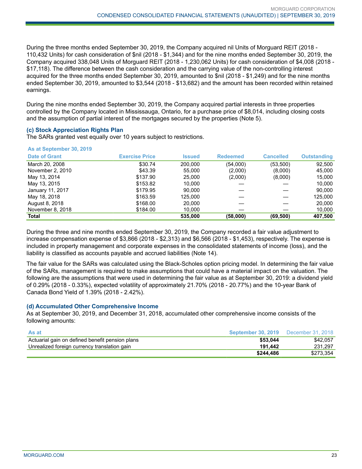During the three months ended September 30, 2019, the Company acquired nil Units of Morguard REIT (2018 - 110,432 Units) for cash consideration of \$nil (2018 - \$1,344) and for the nine months ended September 30, 2019, the Company acquired 338,048 Units of Morguard REIT (2018 - 1,230,062 Units) for cash consideration of \$4,008 (2018 - \$17,118). The difference between the cash consideration and the carrying value of the non-controlling interest acquired for the three months ended September 30, 2019, amounted to \$nil (2018 - \$1,249) and for the nine months ended September 30, 2019, amounted to \$3,544 (2018 - \$13,682) and the amount has been recorded within retained earnings.

During the nine months ended September 30, 2019, the Company acquired partial interests in three properties controlled by the Company located in Mississauga, Ontario, for a purchase price of \$8,014, including closing costs and the assumption of partial interest of the mortgages secured by the properties (Note 5).

#### **(c) Stock Appreciation Rights Plan**

The SARs granted vest equally over 10 years subject to restrictions.

#### **As at September 30, 2019**

| <b>Date of Grant</b> | <b>Exercise Price</b> | <b>Issued</b> | <b>Redeemed</b> | <b>Cancelled</b> | <b>Outstanding</b> |
|----------------------|-----------------------|---------------|-----------------|------------------|--------------------|
| March 20, 2008       | \$30.74               | 200.000       | (54,000)        | (53,500)         | 92,500             |
| November 2, 2010     | \$43.39               | 55,000        | (2,000)         | (8,000)          | 45,000             |
| May 13, 2014         | \$137.90              | 25,000        | (2,000)         | (8,000)          | 15.000             |
| May 13, 2015         | \$153.82              | 10.000        |                 |                  | 10.000             |
| January 11, 2017     | \$179.95              | 90.000        |                 |                  | 90.000             |
| May 18, 2018         | \$163.59              | 125,000       |                 |                  | 125,000            |
| August 8, 2018       | \$168.00              | 20,000        |                 |                  | 20,000             |
| November 8, 2018     | \$184.00              | 10,000        |                 |                  | 10,000             |
| <b>Total</b>         |                       | 535,000       | (58,000)        | (69, 500)        | 407,500            |

During the three and nine months ended September 30, 2019, the Company recorded a fair value adjustment to increase compensation expense of \$3,866 (2018 - \$2,313) and \$6,566 (2018 - \$1,453), respectively. The expense is included in property management and corporate expenses in the consolidated statements of income (loss), and the liability is classified as accounts payable and accrued liabilities (Note 14).

The fair value for the SARs was calculated using the Black-Scholes option pricing model. In determining the fair value of the SARs, management is required to make assumptions that could have a material impact on the valuation. The following are the assumptions that were used in determining the fair value as at September 30, 2019: a dividend yield of 0.29% (2018 - 0.33%), expected volatility of approximately 21.70% (2018 - 20.77%) and the 10-year Bank of Canada Bond Yield of 1.39% (2018 - 2.42%).

### **(d) Accumulated Other Comprehensive Income**

As at September 30, 2019, and December 31, 2018, accumulated other comprehensive income consists of the following amounts:

| As at                                           | <b>September 30, 2019</b> December 31, 2018 |           |
|-------------------------------------------------|---------------------------------------------|-----------|
| Actuarial gain on defined benefit pension plans | \$53.044                                    | \$42.057  |
| Unrealized foreign currency translation gain    | 191.442                                     | 231.297   |
|                                                 | \$244.486                                   | \$273,354 |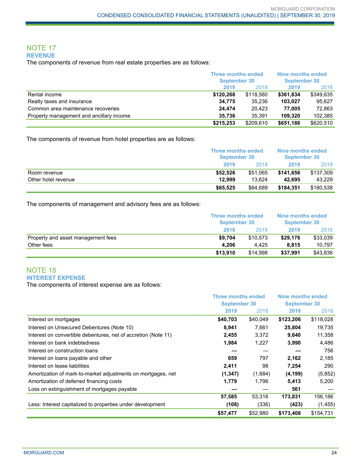#### NOTE 17 **REVENUE**

The components of revenue from real estate properties are as follows:

|                                          |           | <b>Three months ended</b><br><b>September 30</b> |           | Nine months ended<br><b>September 30</b> |
|------------------------------------------|-----------|--------------------------------------------------|-----------|------------------------------------------|
|                                          | 2019      | 2018                                             | 2019      | 2018                                     |
| Rental income                            | \$120,268 | \$118.560                                        | \$361.834 | \$349,635                                |
| Realty taxes and insurance               | 34.775    | 35.236                                           | 103.027   | 95.627                                   |
| Common area maintenance recoveries       | 24.474    | 20.423                                           | 77.005    | 72.863                                   |
| Property management and ancillary income | 35.736    | 35.391                                           | 109.320   | 102.385                                  |
|                                          | \$215,253 | \$209.610                                        | \$651,186 | \$620,510                                |

The components of revenue from hotel properties are as follows:

|                     |          | <b>Three months ended</b><br><b>September 30</b> |           | Nine months ended<br>September 30 |
|---------------------|----------|--------------------------------------------------|-----------|-----------------------------------|
|                     | 2019     | 2018                                             | 2019      | 2018                              |
| Room revenue        | \$52.526 | \$51.065                                         | \$141.656 | \$137.309                         |
| Other hotel revenue | 12.999   | 13.624                                           | 42.695    | 43.229                            |
|                     | \$65,525 | \$64.689                                         | \$184.351 | \$180.538                         |

The components of management and advisory fees are as follows:

|                                    | <b>Three months ended</b><br><b>September 30</b> |          | Nine months ended<br><b>September 30</b> |          |
|------------------------------------|--------------------------------------------------|----------|------------------------------------------|----------|
|                                    | 2019                                             | 2018     | 2019                                     | 2018     |
| Property and asset management fees | \$9,704                                          | \$10.573 | \$29,176                                 | \$33,039 |
| Other fees                         | 4.206                                            | 4.425    | 8.815                                    | 10.797   |
|                                    | \$13.910                                         | \$14,998 | \$37,991                                 | \$43,836 |

### NOTE 18 **INTEREST EXPENSE**

The components of interest expense are as follows:

|                                                                | Three months ended<br><b>September 30</b> |          | <b>Nine months ended</b><br><b>September 30</b> |           |
|----------------------------------------------------------------|-------------------------------------------|----------|-------------------------------------------------|-----------|
|                                                                |                                           |          |                                                 |           |
|                                                                | 2019                                      | 2018     | 2019                                            | 2018      |
| Interest on mortgages                                          | \$40,703                                  | \$40,049 | \$123,206                                       | \$118,028 |
| Interest on Unsecured Debentures (Note 10)                     | 8,941                                     | 7,661    | 25,804                                          | 19,735    |
| Interest on convertible debentures, net of accretion (Note 11) | 2,455                                     | 3,372    | 9,640                                           | 11,358    |
| Interest on bank indebtedness                                  | 1,984                                     | 1,227    | 3,990                                           | 4,486     |
| Interest on construction loans                                 |                                           |          |                                                 | 756       |
| Interest on loans payable and other                            | 659                                       | 797      | 2,162                                           | 2,185     |
| Interest on lease liabilities                                  | 2,411                                     | 98       | 7,254                                           | 290       |
| Amortization of mark-to-market adjustments on mortgages, net   | (1, 347)                                  | (1,684)  | (4, 199)                                        | (5,852)   |
| Amortization of deferred financing costs                       | 1,779                                     | 1,796    | 5,413                                           | 5,200     |
| Loss on extinguishment of mortgages payable                    |                                           |          | 561                                             |           |
|                                                                | 57,585                                    | 53,316   | 173,831                                         | 156,186   |
| Less: Interest capitalized to properties under development     | (108)                                     | (336)    | (423)                                           | (1, 455)  |
|                                                                | \$57,477                                  | \$52,980 | \$173,408                                       | \$154,731 |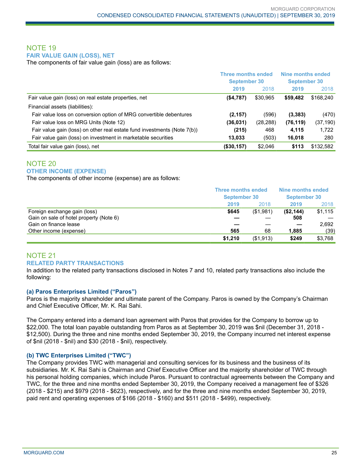### NOTE 19 **FAIR VALUE GAIN (LOSS), NET**

The components of fair value gain (loss) are as follows:

|                                                                          | <b>Three months ended</b><br><b>September 30</b> |          | Nine months ended<br><b>September 30</b> |           |
|--------------------------------------------------------------------------|--------------------------------------------------|----------|------------------------------------------|-----------|
|                                                                          | 2019                                             | 2018     | 2019                                     | 2018      |
| Fair value gain (loss) on real estate properties, net                    | (\$4,787)                                        | \$30,965 | \$59,482                                 | \$168,240 |
| Financial assets (liabilities):                                          |                                                  |          |                                          |           |
| Fair value loss on conversion option of MRG convertible debentures       | (2, 157)                                         | (596)    | (3, 383)                                 | (470)     |
| Fair value loss on MRG Units (Note 12)                                   | (36,031)                                         | (28,288) | (76, 119)                                | (37, 190) |
| Fair value gain (loss) on other real estate fund investments (Note 7(b)) | (215)                                            | 468      | 4,115                                    | 1,722     |
| Fair value gain (loss) on investment in marketable securities            | 13,033                                           | (503)    | 16,018                                   | 280       |
| Total fair value gain (loss), net                                        | (\$30,157)                                       | \$2,046  | \$113                                    | \$132,582 |

### NOTE 20 **OTHER INCOME (EXPENSE)**

The components of other income (expense) are as follows:

|                                         | <b>Three months ended</b><br><b>September 30</b> |             | Nine months ended<br><b>September 30</b> |         |
|-----------------------------------------|--------------------------------------------------|-------------|------------------------------------------|---------|
|                                         | 2019                                             | 2018        | 2019                                     | 2018    |
| Foreign exchange gain (loss)            | \$645                                            | (\$1,981)   | (\$2,144)                                | \$1,115 |
| Gain on sale of hotel property (Note 6) |                                                  |             | 508                                      |         |
| Gain on finance lease                   |                                                  |             |                                          | 2.692   |
| Other income (expense)                  | 565                                              | 68          | 1,885                                    | (39)    |
|                                         | \$1,210                                          | ( \$1, 913) | \$249                                    | \$3,768 |

### NOTE 21 **RELATED PARTY TRANSACTIONS**

In addition to the related party transactions disclosed in Notes 7 and 10, related party transactions also include the following:

### **(a) Paros Enterprises Limited ("Paros")**

Paros is the majority shareholder and ultimate parent of the Company. Paros is owned by the Company's Chairman and Chief Executive Officer, Mr. K. Rai Sahi.

The Company entered into a demand loan agreement with Paros that provides for the Company to borrow up to \$22,000. The total loan payable outstanding from Paros as at September 30, 2019 was \$nil (December 31, 2018 - \$12,500). During the three and nine months ended September 30, 2019, the Company incurred net interest expense of \$nil (2018 - \$nil) and \$30 (2018 - \$nil), respectively.

### **(b) TWC Enterprises Limited ("TWC")**

The Company provides TWC with managerial and consulting services for its business and the business of its subsidiaries. Mr. K. Rai Sahi is Chairman and Chief Executive Officer and the majority shareholder of TWC through his personal holding companies, which include Paros. Pursuant to contractual agreements between the Company and TWC, for the three and nine months ended September 30, 2019, the Company received a management fee of \$326 (2018 - \$215) and \$979 (2018 - \$623), respectively, and for the three and nine months ended September 30, 2019, paid rent and operating expenses of \$166 (2018 - \$160) and \$511 (2018 - \$499), respectively.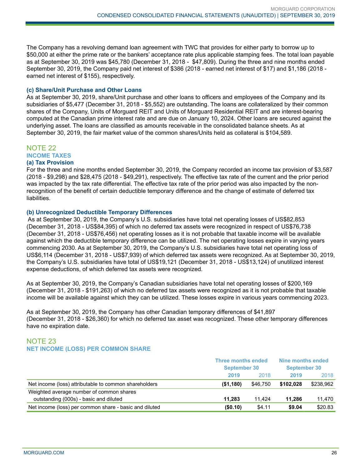The Company has a revolving demand loan agreement with TWC that provides for either party to borrow up to \$50,000 at either the prime rate or the bankers' acceptance rate plus applicable stamping fees. The total loan payable as at September 30, 2019 was \$45,780 (December 31, 2018 - \$47,809). During the three and nine months ended September 30, 2019, the Company paid net interest of \$386 (2018 - earned net interest of \$17) and \$1,186 (2018 earned net interest of \$155), respectively.

#### **(c) Share/Unit Purchase and Other Loans**

As at September 30, 2019, share/Unit purchase and other loans to officers and employees of the Company and its subsidiaries of \$5,477 (December 31, 2018 - \$5,552) are outstanding. The loans are collateralized by their common shares of the Company, Units of Morguard REIT and Units of Morguard Residential REIT and are interest-bearing computed at the Canadian prime interest rate and are due on January 10, 2024. Other loans are secured against the underlying asset. The loans are classified as amounts receivable in the consolidated balance sheets. As at September 30, 2019, the fair market value of the common shares/Units held as collateral is \$104,589.

### NOTE 22

**INCOME TAXES**

#### **(a) Tax Provision**

For the three and nine months ended September 30, 2019, the Company recorded an income tax provision of \$3,587 (2018 - \$9,298) and \$28,475 (2018 - \$49,291), respectively. The effective tax rate of the current and the prior period was impacted by the tax rate differential. The effective tax rate of the prior period was also impacted by the nonrecognition of the benefit of certain deductible temporary difference and the change of estimate of deferred tax liabilities.

#### **(b) Unrecognized Deductible Temporary Differences**

As at September 30, 2019, the Company's U.S. subsidiaries have total net operating losses of US\$82,853 (December 31, 2018 - US\$84,395) of which no deferred tax assets were recognized in respect of US\$76,738 (December 31, 2018 - US\$76,456) net operating losses as it is not probable that taxable income will be available against which the deductible temporary difference can be utilized. The net operating losses expire in varying years commencing 2030. As at September 30, 2019, the Company's U.S. subsidiaries have total net operating loss of US\$6,114 (December 31, 2018 - US\$7,939) of which deferred tax assets were recognized. As at September 30, 2019, the Company's U.S. subsidiaries have total of US\$19,121 (December 31, 2018 - US\$13,124) of unutilized interest expense deductions, of which deferred tax assets were recognized.

As at September 30, 2019, the Company's Canadian subsidiaries have total net operating losses of \$200,169 (December 31, 2018 - \$191,263) of which no deferred tax assets were recognized as it is not probable that taxable income will be available against which they can be utilized. These losses expire in various years commencing 2023.

As at September 30, 2019, the Company has other Canadian temporary differences of \$41,897 (December 31, 2018 - \$26,360) for which no deferred tax asset was recognized. These other temporary differences have no expiration date.

### NOTE 23 **NET INCOME (LOSS) PER COMMON SHARE**

|                                                        | <b>Three months ended</b><br><b>September 30</b> |          | Nine months ended<br><b>September 30</b> |           |
|--------------------------------------------------------|--------------------------------------------------|----------|------------------------------------------|-----------|
|                                                        | 2019                                             | 2018     | 2019                                     | 2018      |
| Net income (loss) attributable to common shareholders  | (\$1,180)                                        | \$46.750 | \$102.028                                | \$238,962 |
| Weighted average number of common shares               |                                                  |          |                                          |           |
| outstanding (000s) - basic and diluted                 | 11.283                                           | 11.424   | 11.286                                   | 11.470    |
| Net income (loss) per common share - basic and diluted | (\$0.10)                                         | \$4.11   | \$9.04                                   | \$20.83   |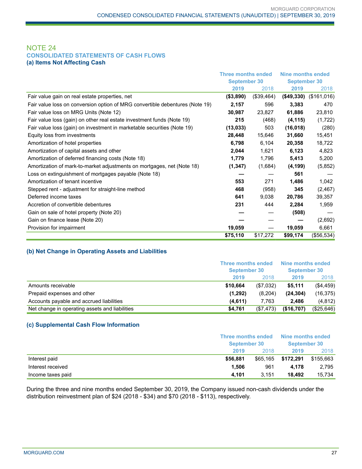### NOTE 24 **CONSOLIDATED STATEMENTS OF CASH FLOWS (a) Items Not Affecting Cash**

|                                                                              | <b>Three months ended</b> |            | <b>Nine months ended</b> |             |
|------------------------------------------------------------------------------|---------------------------|------------|--------------------------|-------------|
|                                                                              | <b>September 30</b>       |            | <b>September 30</b>      |             |
|                                                                              | 2019                      | 2018       | 2019                     | 2018        |
| Fair value gain on real estate properties, net                               | ( \$3,890)                | (\$39,464) | ( \$49, 330)             | (\$161,016) |
| Fair value loss on conversion option of MRG convertible debentures (Note 19) | 2,157                     | 596        | 3,383                    | 470         |
| Fair value loss on MRG Units (Note 12)                                       | 30,987                    | 23,827     | 61,886                   | 23,810      |
| Fair value loss (gain) on other real estate investment funds (Note 19)       | 215                       | (468)      | (4, 115)                 | (1,722)     |
| Fair value loss (gain) on investment in marketable securities (Note 19)      | (13, 033)                 | 503        | (16, 018)                | (280)       |
| Equity loss from investments                                                 | 28,448                    | 15,646     | 31,660                   | 15,451      |
| Amortization of hotel properties                                             | 6,798                     | 6,104      | 20,358                   | 18,722      |
| Amortization of capital assets and other                                     | 2,044                     | 1,621      | 6,123                    | 4,823       |
| Amortization of deferred financing costs (Note 18)                           | 1,779                     | 1,796      | 5,413                    | 5,200       |
| Amortization of mark-to-market adjustments on mortgages, net (Note 18)       | (1, 347)                  | (1,684)    | (4, 199)                 | (5,852)     |
| Loss on extinguishment of mortgages payable (Note 18)                        |                           |            | 561                      |             |
| Amortization of tenant incentive                                             | 553                       | 271        | 1,486                    | 1,042       |
| Stepped rent - adjustment for straight-line method                           | 468                       | (958)      | 345                      | (2, 467)    |
| Deferred income taxes                                                        | 641                       | 9,038      | 20,786                   | 39,357      |
| Accretion of convertible debentures                                          | 231                       | 444        | 2,284                    | 1,959       |
| Gain on sale of hotel property (Note 20)                                     |                           |            | (508)                    |             |
| Gain on finance lease (Note 20)                                              |                           |            |                          | (2,692)     |
| Provision for impairment                                                     | 19,059                    |            | 19,059                   | 6,661       |
|                                                                              | \$75,110                  | \$17,272   | \$99,174                 | (\$56,534)  |

### **(b) Net Change in Operating Assets and Liabilities**

|                                                | <b>Three months ended</b><br><b>September 30</b> |           | Nine months ended<br><b>September 30</b> |            |
|------------------------------------------------|--------------------------------------------------|-----------|------------------------------------------|------------|
|                                                | 2019                                             | 2018      | 2019                                     | 2018       |
| Amounts receivable                             | \$10.664                                         | (\$7,032) | \$5,111                                  | (\$4,459)  |
| Prepaid expenses and other                     | (1,292)                                          | (8,204)   | (24, 304)                                | (16, 375)  |
| Accounts payable and accrued liabilities       | (4,611)                                          | 7.763     | 2.486                                    | (4,812)    |
| Net change in operating assets and liabilities | \$4,761                                          | (\$7,473) | (\$16,707)                               | (\$25,646) |

### **(c) Supplemental Cash Flow Information**

|                   |          | Three months ended<br><b>September 30</b> |           | Nine months ended<br><b>September 30</b> |
|-------------------|----------|-------------------------------------------|-----------|------------------------------------------|
|                   | 2019     | 2018                                      | 2019      | 2018                                     |
| Interest paid     | \$56,881 | \$65,165                                  | \$172,291 | \$155,663                                |
| Interest received | 1.506    | 961                                       | 4.178     | 2,795                                    |
| Income taxes paid | 4.101    | 3.151                                     | 18.492    | 15.734                                   |

During the three and nine months ended September 30, 2019, the Company issued non-cash dividends under the distribution reinvestment plan of \$24 (2018 - \$34) and \$70 (2018 - \$113), respectively.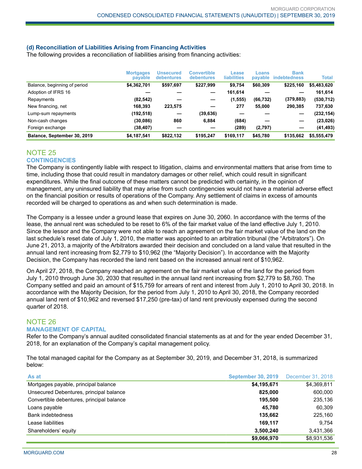### **(d) Reconciliation of Liabilities Arising from Financing Activities**

The following provides a reconciliation of liabilities arising from financing activities:

|                              | <b>Mortgages</b><br>payable | <b>Unsecured</b><br><b>debentures</b> | <b>Convertible</b><br><b>debentures</b> | Lease<br><b>liabilities</b> | Loans<br>payable | <b>Bank</b><br><b>indebtedness</b> | Total       |
|------------------------------|-----------------------------|---------------------------------------|-----------------------------------------|-----------------------------|------------------|------------------------------------|-------------|
| Balance, beginning of period | \$4,362,701                 | \$597,697                             | \$227,999                               | \$9,754                     | \$60,309         | \$225,160                          | \$5,483,620 |
| Adoption of IFRS 16          |                             |                                       |                                         | 161,614                     |                  |                                    | 161,614     |
| Repayments                   | (82, 542)                   |                                       |                                         | (1, 555)                    | (66, 732)        | (379, 883)                         | (530, 712)  |
| New financing, net           | 168,393                     | 223,575                               |                                         | 277                         | 55.000           | 290.385                            | 737,630     |
| Lump-sum repayments          | (192,518)                   |                                       | (39, 636)                               |                             |                  |                                    | (232, 154)  |
| Non-cash changes             | (30, 086)                   | 860                                   | 6.884                                   | (684)                       |                  |                                    | (23, 026)   |
| Foreign exchange             | (38, 407)                   |                                       |                                         | (289)                       | (2,797)          |                                    | (41, 493)   |
| Balance, September 30, 2019  | \$4,187,541                 | \$822.132                             | \$195.247                               | \$169.117                   | \$45,780         | \$135,662                          | \$5,555,479 |

### NOTE 25

### **CONTINGENCIES**

The Company is contingently liable with respect to litigation, claims and environmental matters that arise from time to time, including those that could result in mandatory damages or other relief, which could result in significant expenditures. While the final outcome of these matters cannot be predicted with certainty, in the opinion of management, any uninsured liability that may arise from such contingencies would not have a material adverse effect on the financial position or results of operations of the Company. Any settlement of claims in excess of amounts recorded will be charged to operations as and when such determination is made.

The Company is a lessee under a ground lease that expires on June 30, 2060. In accordance with the terms of the lease, the annual rent was scheduled to be reset to 6% of the fair market value of the land effective July 1, 2010. Since the lessor and the Company were not able to reach an agreement on the fair market value of the land on the last schedule's reset date of July 1, 2010, the matter was appointed to an arbitration tribunal (the "Arbitrators"). On June 21, 2013, a majority of the Arbitrators awarded their decision and concluded on a land value that resulted in the annual land rent increasing from \$2,779 to \$10,962 (the "Majority Decision"). In accordance with the Majority Decision, the Company has recorded the land rent based on the increased annual rent of \$10,962.

On April 27, 2018, the Company reached an agreement on the fair market value of the land for the period from July 1, 2010 through June 30, 2030 that resulted in the annual land rent increasing from \$2,779 to \$8,760. The Company settled and paid an amount of \$15,759 for arrears of rent and interest from July 1, 2010 to April 30, 2018. In accordance with the Majority Decision, for the period from July 1, 2010 to April 30, 2018, the Company recorded annual land rent of \$10,962 and reversed \$17,250 (pre-tax) of land rent previously expensed during the second quarter of 2018.

### NOTE 26 **MANAGEMENT OF CAPITAL**

Refer to the Company's annual audited consolidated financial statements as at and for the year ended December 31, 2018, for an explanation of the Company's capital management policy.

The total managed capital for the Company as at September 30, 2019, and December 31, 2018, is summarized below:

| As at                                     | <b>September 30, 2019</b> | December 31, 2018 |
|-------------------------------------------|---------------------------|-------------------|
| Mortgages payable, principal balance      | \$4,195,671               | \$4,369,811       |
| Unsecured Debentures, principal balance   | 825,000                   | 600,000           |
| Convertible debentures, principal balance | 195.500                   | 235,136           |
| Loans payable                             | 45.780                    | 60,309            |
| <b>Bank indebtedness</b>                  | 135.662                   | 225,160           |
| Lease liabilities                         | 169.117                   | 9.754             |
| Shareholders' equity                      | 3,500,240                 | 3,431,366         |
|                                           | \$9,066,970               | \$8.931.536       |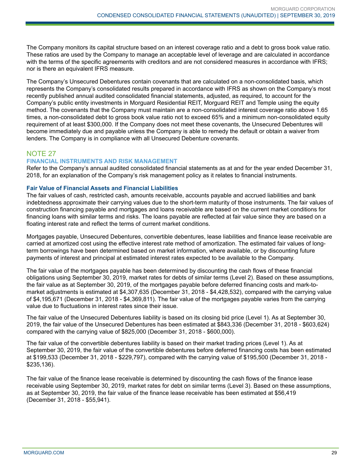The Company monitors its capital structure based on an interest coverage ratio and a debt to gross book value ratio. These ratios are used by the Company to manage an acceptable level of leverage and are calculated in accordance with the terms of the specific agreements with creditors and are not considered measures in accordance with IFRS; nor is there an equivalent IFRS measure.

The Company's Unsecured Debentures contain covenants that are calculated on a non-consolidated basis, which represents the Company's consolidated results prepared in accordance with IFRS as shown on the Company's most recently published annual audited consolidated financial statements, adjusted, as required, to account for the Company's public entity investments in Morguard Residential REIT, Morguard REIT and Temple using the equity method. The covenants that the Company must maintain are a non-consolidated interest coverage ratio above 1.65 times, a non-consolidated debt to gross book value ratio not to exceed 65% and a minimum non-consolidated equity requirement of at least \$300,000. If the Company does not meet these covenants, the Unsecured Debentures will become immediately due and payable unless the Company is able to remedy the default or obtain a waiver from lenders. The Company is in compliance with all Unsecured Debenture covenants.

### NOTE 27

### **FINANCIAL INSTRUMENTS AND RISK MANAGEMENT**

Refer to the Company's annual audited consolidated financial statements as at and for the year ended December 31, 2018, for an explanation of the Company's risk management policy as it relates to financial instruments.

### **Fair Value of Financial Assets and Financial Liabilities**

The fair values of cash, restricted cash, amounts receivable, accounts payable and accrued liabilities and bank indebtedness approximate their carrying values due to the short-term maturity of those instruments. The fair values of construction financing payable and mortgages and loans receivable are based on the current market conditions for financing loans with similar terms and risks. The loans payable are reflected at fair value since they are based on a floating interest rate and reflect the terms of current market conditions.

Mortgages payable, Unsecured Debentures, convertible debentures, lease liabilities and finance lease receivable are carried at amortized cost using the effective interest rate method of amortization. The estimated fair values of longterm borrowings have been determined based on market information, where available, or by discounting future payments of interest and principal at estimated interest rates expected to be available to the Company.

The fair value of the mortgages payable has been determined by discounting the cash flows of these financial obligations using September 30, 2019, market rates for debts of similar terms (Level 2). Based on these assumptions, the fair value as at September 30, 2019, of the mortgages payable before deferred financing costs and mark-tomarket adjustments is estimated at \$4,307,635 (December 31, 2018 - \$4,428,532), compared with the carrying value of \$4,195,671 (December 31, 2018 - \$4,369,811). The fair value of the mortgages payable varies from the carrying value due to fluctuations in interest rates since their issue.

The fair value of the Unsecured Debentures liability is based on its closing bid price (Level 1). As at September 30, 2019, the fair value of the Unsecured Debentures has been estimated at \$843,336 (December 31, 2018 - \$603,624) compared with the carrying value of \$825,000 (December 31, 2018 - \$600,000).

The fair value of the convertible debentures liability is based on their market trading prices (Level 1). As at September 30, 2019, the fair value of the convertible debentures before deferred financing costs has been estimated at \$199,533 (December 31, 2018 - \$229,797), compared with the carrying value of \$195,500 (December 31, 2018 - \$235,136).

The fair value of the finance lease receivable is determined by discounting the cash flows of the finance lease receivable using September 30, 2019, market rates for debt on similar terms (Level 3). Based on these assumptions, as at September 30, 2019, the fair value of the finance lease receivable has been estimated at \$56,419 (December 31, 2018 - \$55,941).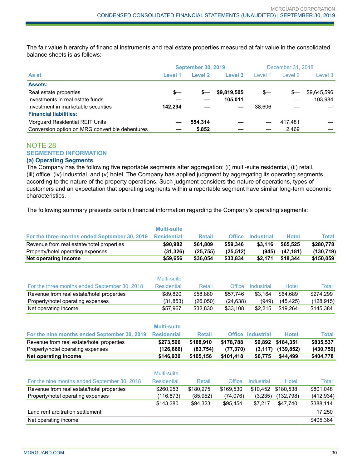The fair value hierarchy of financial instruments and real estate properties measured at fair value in the consolidated balance sheets is as follows:

|                                                 | <b>September 30, 2019</b> |         |             | December 31, 2018 |         |             |
|-------------------------------------------------|---------------------------|---------|-------------|-------------------|---------|-------------|
| As at                                           | Level 1                   | Level 2 | Level 3     | Level 1           | Level 2 | Level 3     |
| <b>Assets:</b>                                  |                           |         |             |                   |         |             |
| Real estate properties                          | s—                        | $s-$    | \$9,819,505 | s—                | s—      | \$9,645,596 |
| Investments in real estate funds                |                           |         | 105.011     |                   |         | 103.984     |
| Investment in marketable securities             | 142.294                   |         |             | 38.606            |         |             |
| <b>Financial liabilities:</b>                   |                           |         |             |                   |         |             |
| Morguard Residential REIT Units                 |                           | 554.314 |             |                   | 417.481 |             |
| Conversion option on MRG convertible debentures |                           | 5.852   |             |                   | 2.469   |             |

### NOTE 28 **SEGMENTED INFORMATION**

### **(a) Operating Segments**

The Company has the following five reportable segments after aggregation: (i) multi-suite residential, (ii) retail, (iii) office, (iv) industrial, and (v) hotel. The Company has applied judgment by aggregating its operating segments according to the nature of the property operations. Such judgment considers the nature of operations, types of customers and an expectation that operating segments within a reportable segment have similar long-term economic characteristics.

The following summary presents certain financial information regarding the Company's operating segments:

|                                               | <b>Multi-suite</b> |               |               |                          |              |              |
|-----------------------------------------------|--------------------|---------------|---------------|--------------------------|--------------|--------------|
| For the three months ended September 30, 2019 | <b>Residential</b> | <b>Retail</b> | <b>Office</b> | <b>Industrial</b>        | <b>Hotel</b> | <b>Total</b> |
| Revenue from real estate/hotel properties     | \$90,982           | \$61,809      | \$59,346      | \$3,116                  | \$65,525     | \$280,778    |
| Property/hotel operating expenses             | (31, 326)          | (25, 755)     | (25, 512)     | (945)                    | (47, 181)    | (130, 719)   |
| Net operating income                          | \$59,656           | \$36,054      | \$33,834      | \$2,171                  | \$18,344     | \$150,059    |
|                                               |                    |               |               |                          |              |              |
|                                               | <b>Multi-suite</b> |               |               |                          |              |              |
| For the three months ended September 30, 2018 | <b>Residential</b> | Retail        | Office        | Industrial               | Hotel        | Total        |
| Revenue from real estate/hotel properties     | \$89.820           | \$58,880      | \$57,746      | \$3,164                  | \$64.689     | \$274,299    |
| Property/hotel operating expenses             | (31, 853)          | (26,050)      | (24, 638)     | (949)                    | (45, 425)    | (128, 915)   |
| Net operating income                          | \$57,967           | \$32,830      | \$33,108      | \$2,215                  | \$19,264     | \$145,384    |
|                                               |                    |               |               |                          |              |              |
|                                               | <b>Multi-suite</b> |               |               |                          |              |              |
| For the nine months ended September 30, 2019  | <b>Residential</b> | <b>Retail</b> |               | <b>Office Industrial</b> | <b>Hotel</b> | <b>Total</b> |
| Revenue from real estate/hotel properties     | \$273,596          | \$188.910     | \$178,788     | \$9,892                  | \$184.351    | \$835,537    |
| Property/hotel operating expenses             | (126, 666)         | (83, 754)     | (77, 370)     | (3, 117)                 | (139, 852)   | (430, 759)   |
| Net operating income                          | \$146,930          | \$105,156     | \$101,418     | \$6,775                  | \$44,499     | \$404,778    |
|                                               |                    |               |               |                          |              |              |
|                                               | Multi-suite        |               |               |                          |              |              |
| For the nine months ended September 30, 2018  | <b>Residential</b> | Retail        | <b>Office</b> | Industrial               | Hotel        | <b>Total</b> |
| Revenue from real estate/hotel properties     | \$260,253          | \$180,275     | \$169,530     | \$10,452                 | \$180,538    | \$801,048    |
| Property/hotel operating expenses             | (116, 873)         | (85, 952)     | (74, 076)     | (3,235)                  | (132, 798)   | (412, 934)   |
|                                               | \$143,380          | \$94,323      | \$95,454      | \$7,217                  | \$47,740     | \$388,114    |
| Land rent arbitration settlement              |                    |               |               |                          |              | 17,250       |
| Net operating income                          |                    |               |               |                          |              | \$405,364    |
|                                               |                    |               |               |                          |              |              |